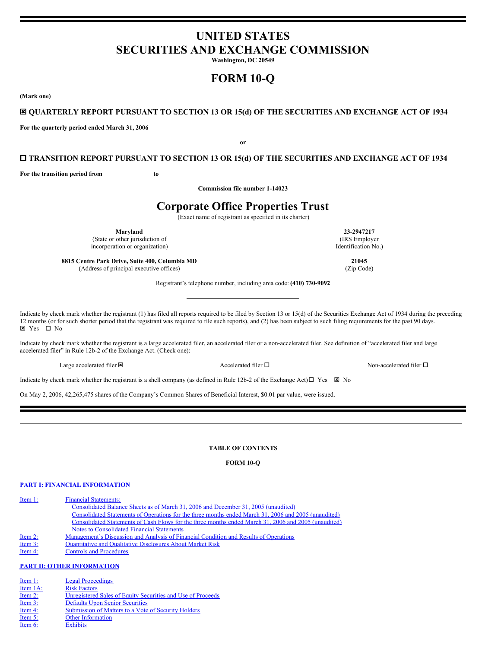# **UNITED STATES SECURITIES AND EXCHANGE COMMISSION**

**Washington, DC 20549**

# **FORM 10-Q**

**(Mark one)**

# ý **QUARTERLY REPORT PURSUANT TO SECTION 13 OR 15(d) OF THE SECURITIES AND EXCHANGE ACT OF 1934**

**For the quarterly period ended March 31, 2006**

**or**

# o **TRANSITION REPORT PURSUANT TO SECTION 13 OR 15(d) OF THE SECURITIES AND EXCHANGE ACT OF 1934**

**For the transition period from to**

**Commission file number 1-14023**

# **Corporate Office Properties Trust**

(Exact name of registrant as specified in its charter)

**Maryland 23-2947217** incorporation or organization)

**8815 Centre Park Drive, Suite 400, Columbia MD 21045**

(Address of principal executive offices)

Registrant's telephone number, including area code: **(410) 730-9092**

Indicate by check mark whether the registrant (1) has filed all reports required to be filed by Section 13 or 15(d) of the Securities Exchange Act of 1934 during the preceding 12 months (or for such shorter period that the registrant was required to file such reports), and (2) has been subject to such filing requirements for the past 90 days.  $\overline{\mathbf{z}}$  Yes  $\overline{\Box}$  No

Indicate by check mark whether the registrant is a large accelerated filer, an accelerated filer or a non-accelerated filer. See definition of "accelerated filer and large accelerated filer" in Rule 12b-2 of the Exchange Act. (Check one):

Large accelerated filer  $\boxtimes$  Accelerated filer  $\square$  Accelerated filer  $\square$  Non-accelerated filer  $\square$ 

Indicate by check mark whether the registrant is a shell company (as defined in Rule 12b-2 of the Exchange Act) $\square$  Yes  $\square$  No

On May 2, 2006, 42,265,475 shares of the Company's Common Shares of Beneficial Interest, \$0.01 par value, were issued.

# **TABLE OF CONTENTS**

# **FORM 10-Q**

### **PART I: FINANCIAL [INFORMATION](#page-1-0)**

| Item 1:   | <b>Financial Statements:</b><br>Consolidated Balance Sheets as of March 31, 2006 and December 31, 2005 (unaudited) |
|-----------|--------------------------------------------------------------------------------------------------------------------|
|           | Consolidated Statements of Operations for the three months ended March 31, 2006 and 2005 (unaudited)               |
|           | Consolidated Statements of Cash Flows for the three months ended March 31, 2006 and 2005 (unaudited)               |
|           | Notes to Consolidated Financial Statements                                                                         |
| Item 2:   | Management's Discussion and Analysis of Financial Condition and Results of Operations                              |
| Item $3:$ | <b>Quantitative and Qualitative Disclosures About Market Risk</b>                                                  |
| Item 4:   | <b>Controls and Procedures</b>                                                                                     |

# **PART II: OTHER [INFORMATION](#page-22-0)**

| Item 1:    | <b>Legal Proceedings</b>                                    |
|------------|-------------------------------------------------------------|
| Item 1A:   | <b>Risk Factors</b>                                         |
| Item $2$ : | Unregistered Sales of Equity Securities and Use of Proceeds |
| Item $3$ : | <b>Defaults Upon Senior Securities</b>                      |
| Item 4:    | Submission of Matters to a Vote of Security Holders         |
| Item $5$ : | <b>Other Information</b>                                    |
| Item 6:    | <b>Exhibits</b>                                             |

(State or other jurisdiction of (IRS Employer incorporation or organization) (IRS Employer incorporation or organization)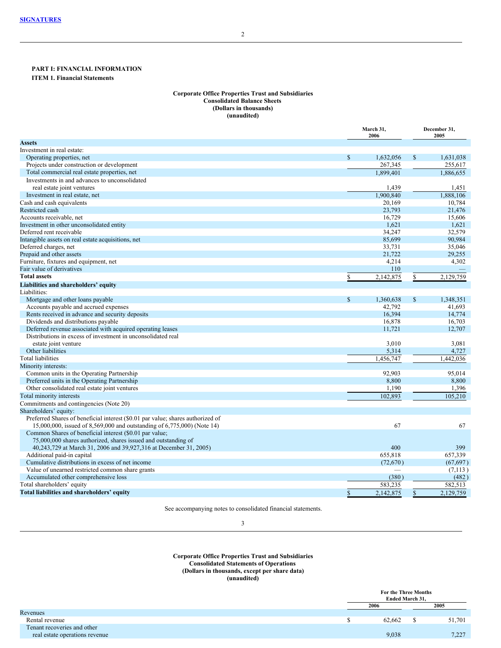# **PART I: FINANCIAL INFORMATION**

# **ITEM 1. Financial Statements**

#### <span id="page-1-2"></span><span id="page-1-1"></span><span id="page-1-0"></span>**Corporate Office Properties Trust and Subsidiaries Consolidated Balance Sheets (Dollars in thousands) (unaudited)**

|                                                                                                                                                            |               | March 31,<br>2006 |               | December 31,<br>2005 |  |
|------------------------------------------------------------------------------------------------------------------------------------------------------------|---------------|-------------------|---------------|----------------------|--|
| <b>Assets</b>                                                                                                                                              |               |                   |               |                      |  |
| Investment in real estate:                                                                                                                                 |               |                   |               |                      |  |
| Operating properties, net                                                                                                                                  | $\mathbf S$   | 1.632.056         | $\mathbb S$   | 1.631.038            |  |
| Projects under construction or development                                                                                                                 |               | 267,345           |               | 255,617              |  |
| Total commercial real estate properties, net                                                                                                               |               | 1.899.401         |               | 1,886,655            |  |
| Investments in and advances to unconsolidated                                                                                                              |               |                   |               |                      |  |
| real estate joint ventures                                                                                                                                 |               | 1,439             |               | 1.451                |  |
| Investment in real estate, net                                                                                                                             |               | 1,900,840         |               | 1,888,106            |  |
| Cash and cash equivalents                                                                                                                                  |               | 20.169            |               | 10,784               |  |
| Restricted cash                                                                                                                                            |               | 23,793            |               | 21,476               |  |
| Accounts receivable, net                                                                                                                                   |               | 16.729            |               | 15.606               |  |
| Investment in other unconsolidated entity                                                                                                                  |               | 1,621             |               | 1,621                |  |
| Deferred rent receivable                                                                                                                                   |               | 34,247            |               | 32,579               |  |
| Intangible assets on real estate acquisitions, net                                                                                                         |               | 85,699            |               | 90,984               |  |
| Deferred charges, net                                                                                                                                      |               | 33,731            |               | 35,046               |  |
| Prepaid and other assets                                                                                                                                   |               | 21.722            |               | 29,255               |  |
| Furniture, fixtures and equipment, net                                                                                                                     |               | 4,214             |               | 4,302                |  |
| Fair value of derivatives                                                                                                                                  |               | 110               |               |                      |  |
| <b>Total assets</b>                                                                                                                                        | S             | 2,142,875         | \$            | 2,129,759            |  |
| Liabilities and shareholders' equity                                                                                                                       |               |                   |               |                      |  |
| Liabilities:                                                                                                                                               |               |                   |               |                      |  |
| Mortgage and other loans payable                                                                                                                           | <sup>\$</sup> | 1,360,638         | $\mathsf{\$}$ | 1,348,351            |  |
| Accounts payable and accrued expenses                                                                                                                      |               | 42,792            |               | 41,693               |  |
| Rents received in advance and security deposits                                                                                                            |               | 16,394            |               | 14,774               |  |
| Dividends and distributions payable                                                                                                                        |               | 16,878            |               | 16,703               |  |
| Deferred revenue associated with acquired operating leases                                                                                                 |               | 11,721            |               | 12,707               |  |
| Distributions in excess of investment in unconsolidated real                                                                                               |               |                   |               |                      |  |
| estate joint venture                                                                                                                                       |               | 3,010             |               | 3.081                |  |
| Other liabilities                                                                                                                                          |               | 5,314             |               | 4,727                |  |
| <b>Total liabilities</b>                                                                                                                                   |               | 1,456,747         |               | 1,442,036            |  |
| Minority interests:                                                                                                                                        |               |                   |               |                      |  |
| Common units in the Operating Partnership                                                                                                                  |               | 92.903            |               | 95.014               |  |
| Preferred units in the Operating Partnership                                                                                                               |               | 8,800             |               | 8,800                |  |
| Other consolidated real estate joint ventures                                                                                                              |               | 1,190             |               | 1,396                |  |
| Total minority interests                                                                                                                                   |               | 102.893           |               | 105,210              |  |
| Commitments and contingencies (Note 20)                                                                                                                    |               |                   |               |                      |  |
| Shareholders' equity:                                                                                                                                      |               |                   |               |                      |  |
| Preferred Shares of beneficial interest (\$0.01 par value; shares authorized of<br>15,000,000, issued of 8,569,000 and outstanding of 6,775,000) (Note 14) |               | 67                |               | 67                   |  |
| Common Shares of beneficial interest (\$0.01 par value;                                                                                                    |               |                   |               |                      |  |
| 75,000,000 shares authorized, shares issued and outstanding of<br>40,243,729 at March 31, 2006 and 39,927,316 at December 31, 2005)                        |               | 400               |               | 399                  |  |
| Additional paid-in capital                                                                                                                                 |               | 655,818           |               | 657,339              |  |
| Cumulative distributions in excess of net income                                                                                                           |               | (72,670)          |               | (67, 697)            |  |
| Value of unearned restricted common share grants                                                                                                           |               |                   |               | (7, 113)             |  |
| Accumulated other comprehensive loss                                                                                                                       |               | (380)             |               | (482)                |  |
| Total shareholders' equity                                                                                                                                 |               | 583.235           |               | 582.513              |  |
| Total liabilities and shareholders' equity                                                                                                                 | \$            | 2,142,875         | $\$$          | 2,129,759            |  |
|                                                                                                                                                            |               |                   |               |                      |  |

See accompanying notes to consolidated financial statements.

<span id="page-1-3"></span>3

**Corporate Office Properties Trust and Subsidiaries Consolidated Statements of Operations (Dollars in thousands, except per share data) (unaudited)**

|                                | For the Three Months<br>Ended March 31, |  |        |
|--------------------------------|-----------------------------------------|--|--------|
|                                | 2006                                    |  | 2005   |
| Revenues                       |                                         |  |        |
| Rental revenue                 | 62.662                                  |  | 51,701 |
| Tenant recoveries and other    |                                         |  |        |
| real estate operations revenue | 9,038                                   |  | 7,227  |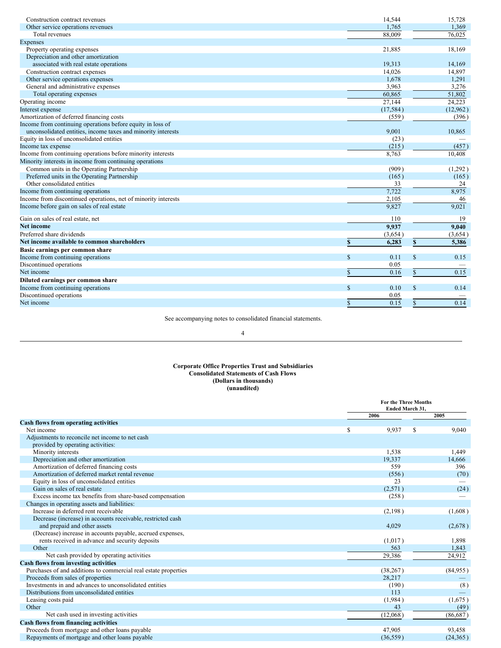| Construction contract revenues                                 | 14,544                | 15,728      |
|----------------------------------------------------------------|-----------------------|-------------|
| Other service operations revenues                              | 1.765                 | 1,369       |
| Total revenues                                                 | 88,009                | 76,025      |
| <b>Expenses</b>                                                |                       |             |
| Property operating expenses                                    | 21,885                | 18,169      |
| Depreciation and other amortization                            |                       |             |
| associated with real estate operations                         | 19,313                | 14,169      |
| Construction contract expenses                                 | 14,026                | 14,897      |
| Other service operations expenses                              | 1,678                 | 1,291       |
| General and administrative expenses                            | 3,963                 | 3,276       |
| Total operating expenses                                       | 60.865                | 51,802      |
| Operating income                                               | 27.144                | 24,223      |
| Interest expense                                               | (17, 584)             | (12,962)    |
| Amortization of deferred financing costs                       | (559)                 | (396)       |
| Income from continuing operations before equity in loss of     |                       |             |
| unconsolidated entities, income taxes and minority interests   | 9,001                 | 10,865      |
| Equity in loss of unconsolidated entities                      | (23)                  |             |
| Income tax expense                                             | (215)                 | (457)       |
| Income from continuing operations before minority interests    | 8,763                 | 10,408      |
| Minority interests in income from continuing operations        |                       |             |
| Common units in the Operating Partnership                      | (909)                 | (1,292)     |
| Preferred units in the Operating Partnership                   | (165)                 | (165)       |
| Other consolidated entities                                    | 33                    | 24          |
| Income from continuing operations                              | 7,722                 | 8,975       |
| Income from discontinued operations, net of minority interests | 2,105                 | 46          |
| Income before gain on sales of real estate                     | 9,827                 | 9,021       |
|                                                                |                       |             |
| Gain on sales of real estate, net                              | 110<br>9.937          | 19          |
| <b>Net income</b>                                              |                       | 9,040       |
| Preferred share dividends                                      | (3,654)               | (3,654)     |
| Net income available to common shareholders                    | 6,283<br>S            | \$<br>5,386 |
| Basic earnings per common share                                |                       |             |
| Income from continuing operations                              | <sup>\$</sup><br>0.11 | \$<br>0.15  |
| Discontinued operations                                        | 0.05                  |             |
| Net income                                                     | 0.16<br>\$            | \$<br>0.15  |
| Diluted earnings per common share                              |                       |             |
| Income from continuing operations                              | 0.10<br>$\mathbb{S}$  | \$<br>0.14  |
| Discontinued operations                                        | 0.05                  |             |
| Net income                                                     | 0.15<br>$\mathbb{S}$  | \$<br>0.14  |
|                                                                |                       |             |

See accompanying notes to consolidated financial statements.

<span id="page-2-0"></span>4

#### **Corporate Office Properties Trust and Subsidiaries Consolidated Statements of Cash Flows (Dollars in thousands) (unaudited)**

|                                                                 |      | <b>For the Three Months</b><br><b>Ended March 31.</b> |           |  |
|-----------------------------------------------------------------|------|-------------------------------------------------------|-----------|--|
|                                                                 | 2006 |                                                       | 2005      |  |
| <b>Cash flows from operating activities</b>                     |      |                                                       |           |  |
| Net income                                                      | S    | 9.937<br>S                                            | 9.040     |  |
| Adjustments to reconcile net income to net cash                 |      |                                                       |           |  |
| provided by operating activities:                               |      |                                                       |           |  |
| Minority interests                                              |      | 1.538                                                 | 1,449     |  |
| Depreciation and other amortization                             |      | 19,337                                                | 14,666    |  |
| Amortization of deferred financing costs                        |      | 559                                                   | 396       |  |
| Amortization of deferred market rental revenue                  |      | (556)                                                 | (70)      |  |
| Equity in loss of unconsolidated entities                       |      | 23                                                    |           |  |
| Gain on sales of real estate                                    |      | (2,571)                                               | (24)      |  |
| Excess income tax benefits from share-based compensation        |      | (258)                                                 |           |  |
| Changes in operating assets and liabilities:                    |      |                                                       |           |  |
| Increase in deferred rent receivable                            |      | (2,198)                                               | (1,608)   |  |
| Decrease (increase) in accounts receivable, restricted cash     |      |                                                       |           |  |
| and prepaid and other assets                                    |      | 4,029                                                 | (2,678)   |  |
| (Decrease) increase in accounts payable, accrued expenses,      |      |                                                       |           |  |
| rents received in advance and security deposits                 |      | (1,017)                                               | 1,898     |  |
| Other                                                           |      | 563                                                   | 1,843     |  |
| Net cash provided by operating activities                       |      | 29,386                                                | 24,912    |  |
| <b>Cash flows from investing activities</b>                     |      |                                                       |           |  |
| Purchases of and additions to commercial real estate properties |      | (38, 267)                                             | (84,955)  |  |
| Proceeds from sales of properties                               |      | 28,217                                                |           |  |
| Investments in and advances to unconsolidated entities          |      | (190)                                                 | (8)       |  |
| Distributions from unconsolidated entities                      |      | 113                                                   |           |  |
| Leasing costs paid                                              |      | (1,984)                                               | (1,675)   |  |
| Other                                                           |      | 43                                                    | (49)      |  |
| Net cash used in investing activities                           |      | (12,068)                                              | (86,687)  |  |
| <b>Cash flows from financing activities</b>                     |      |                                                       |           |  |
| Proceeds from mortgage and other loans payable                  |      | 47,905                                                | 93,458    |  |
| Repayments of mortgage and other loans payable                  |      | (36, 559)                                             | (24, 365) |  |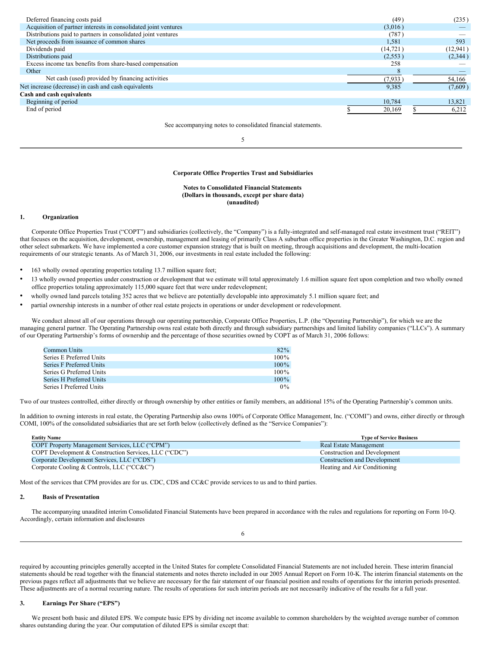| Deferred financing costs paid                                   | (49)      | (235)     |
|-----------------------------------------------------------------|-----------|-----------|
| Acquisition of partner interests in consolidated joint ventures | (3,016)   |           |
| Distributions paid to partners in consolidated joint ventures   | (787)     |           |
| Net proceeds from issuance of common shares                     | 1,581     | 593       |
| Dividends paid                                                  | (14, 721) | (12, 941) |
| Distributions paid                                              | (2,553)   | (2,344)   |
| Excess income tax benefits from share-based compensation        | 258       |           |
| Other                                                           |           |           |
| Net cash (used) provided by financing activities                | (7,933)   | 54,166    |
| Net increase (decrease) in cash and cash equivalents            | 9.385     | (7,609)   |
| Cash and cash equivalents                                       |           |           |
| Beginning of period                                             | 10,784    | 13,821    |
| End of period                                                   | 20,169    | 6,212     |
|                                                                 |           |           |

See accompanying notes to consolidated financial statements.

<span id="page-3-0"></span>5

#### **Corporate Office Properties Trust and Subsidiaries**

**Notes to Consolidated Financial Statements (Dollars in thousands, except per share data) (unaudited)**

#### **1. Organization**

Corporate Office Properties Trust ("COPT") and subsidiaries (collectively, the "Company") is a fully-integrated and self-managed real estate investment trust ("REIT") that focuses on the acquisition, development, ownership, management and leasing of primarily Class A suburban office properties in the Greater Washington, D.C. region and other select submarkets. We have implemented a core customer expansion strategy that is built on meeting, through acquisitions and development, the multi-location requirements of our strategic tenants. As of March 31, 2006, our investments in real estate included the following:

163 wholly owned operating properties totaling 13.7 million square feet;

- 13 wholly owned properties under construction or development that we estimate will total approximately 1.6 million square feet upon completion and two wholly owned office properties totaling approximately 115,000 square feet that were under redevelopment;
- wholly owned land parcels totaling 352 acres that we believe are potentially developable into approximately 5.1 million square feet; and
- partial ownership interests in a number of other real estate projects in operations or under development or redevelopment.

We conduct almost all of our operations through our operating partnership, Corporate Office Properties, L.P. (the "Operating Partnership"), for which we are the managing general partner. The Operating Partnership owns real estate both directly and through subsidiary partnerships and limited liability companies ("LLCs"). A summary of our Operating Partnership's forms of ownership and the percentage of those securities owned by COPT as of March 31, 2006 follows:

| Common Units             | $82\%$  |
|--------------------------|---------|
| Series E Preferred Units | $100\%$ |
| Series F Preferred Units | $100\%$ |
| Series G Preferred Units | $100\%$ |
| Series H Preferred Units | $100\%$ |
| Series I Preferred Units | $0\%$   |

Two of our trustees controlled, either directly or through ownership by other entities or family members, an additional 15% of the Operating Partnership's common units.

In addition to owning interests in real estate, the Operating Partnership also owns 100% of Corporate Office Management, Inc. ("COMI") and owns, either directly or through COMI, 100% of the consolidated subsidiaries that are set forth below (collectively defined as the "Service Companies"):

| <b>Entity Name</b>                                    | <b>Type of Service Business</b>     |
|-------------------------------------------------------|-------------------------------------|
| COPT Property Management Services, LLC ("CPM")        | Real Estate Management              |
| COPT Development & Construction Services, LLC ("CDC") | <b>Construction and Development</b> |
| Corporate Development Services, LLC ("CDS")           | Construction and Development        |
| Corporate Cooling & Controls, LLC ("CC&C")            | Heating and Air Conditioning        |

Most of the services that CPM provides are for us. CDC, CDS and CC&C provide services to us and to third parties.

#### **2. Basis of Presentation**

The accompanying unaudited interim Consolidated Financial Statements have been prepared in accordance with the rules and regulations for reporting on Form 10-Q. Accordingly, certain information and disclosures

required by accounting principles generally accepted in the United States for complete Consolidated Financial Statements are not included herein. These interim financial statements should be read together with the financial statements and notes thereto included in our 2005 Annual Report on Form 10-K. The interim financial statements on the previous pages reflect all adjustments that we believe are necessary for the fair statement of our financial position and results of operations for the interim periods presented. These adjustments are of a normal recurring nature. The results of operations for such interim periods are not necessarily indicative of the results for a full year.

#### **3. Earnings Per Share ("EPS")**

We present both basic and diluted EPS. We compute basic EPS by dividing net income available to common shareholders by the weighted average number of common shares outstanding during the year. Our computation of diluted EPS is similar except that: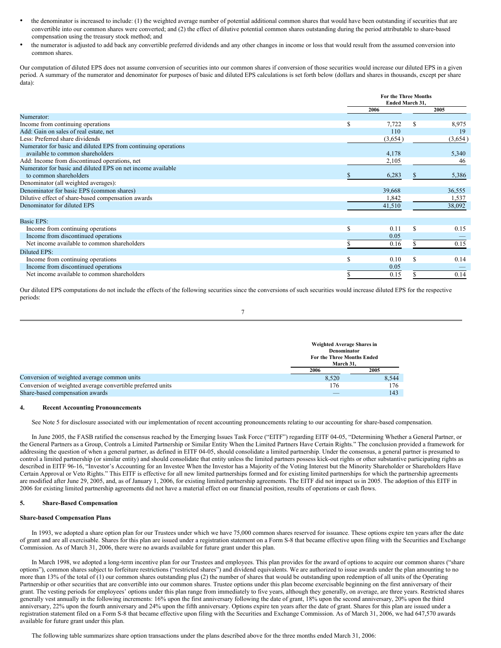- the denominator is increased to include: (1) the weighted average number of potential additional common shares that would have been outstanding if securities that are convertible into our common shares were converted; and (2) the effect of dilutive potential common shares outstanding during the period attributable to share-based compensation using the treasury stock method; and
- the numerator is adjusted to add back any convertible preferred dividends and any other changes in income or loss that would result from the assumed conversion into common shares.

Our computation of diluted EPS does not assume conversion of securities into our common shares if conversion of those securities would increase our diluted EPS in a given period. A summary of the numerator and denominator for purposes of basic and diluted EPS calculations is set forth below (dollars and shares in thousands, except per share data):

|                                                                | <b>For the Three Months</b><br>Ended March 31, |                       |         |
|----------------------------------------------------------------|------------------------------------------------|-----------------------|---------|
|                                                                | 2006                                           |                       | 2005    |
| Numerator:                                                     |                                                |                       |         |
| Income from continuing operations                              | S                                              | \$<br>7,722           | 8,975   |
| Add: Gain on sales of real estate, net                         |                                                | 110                   | 19      |
| Less: Preferred share dividends                                |                                                | (3,654)               | (3,654) |
| Numerator for basic and diluted EPS from continuing operations |                                                |                       |         |
| available to common shareholders                               |                                                | 4,178                 | 5,340   |
| Add: Income from discontinued operations, net                  |                                                | 2,105                 | 46      |
| Numerator for basic and diluted EPS on net income available    |                                                |                       |         |
| to common shareholders                                         |                                                | 6,283                 | 5,386   |
| Denominator (all weighted averages):                           |                                                |                       |         |
| Denominator for basic EPS (common shares)                      |                                                | 39,668                | 36,555  |
| Dilutive effect of share-based compensation awards             |                                                | 1,842                 | 1,537   |
| Denominator for diluted EPS                                    |                                                | 41,510                | 38,092  |
| <b>Basic EPS:</b>                                              |                                                |                       |         |
| Income from continuing operations                              | S                                              | <sup>\$</sup><br>0.11 | 0.15    |
| Income from discontinued operations                            |                                                | 0.05                  |         |
| Net income available to common shareholders                    |                                                | 0.16<br>S             | 0.15    |
| Diluted EPS:                                                   |                                                |                       |         |
| Income from continuing operations                              | <sup>\$</sup>                                  | S<br>0.10             | 0.14    |
| Income from discontinued operations                            |                                                | 0.05                  |         |
| Net income available to common shareholders                    |                                                | 0.15                  | 0.14    |

Our diluted EPS computations do not include the effects of the following securities since the conversions of such securities would increase diluted EPS for the respective periods:

#### 7

|                                                            | Weighted Average Shares in<br>Denominator<br>For the Three Months Ended<br>March 31. |       |
|------------------------------------------------------------|--------------------------------------------------------------------------------------|-------|
|                                                            | 2006                                                                                 | 2005  |
| Conversion of weighted average common units                | 8.520                                                                                | 8.544 |
| Conversion of weighted average convertible preferred units | 176                                                                                  | 176   |
| Share-based compensation awards                            |                                                                                      | 143   |

#### **4. Recent Accounting Pronouncements**

See Note 5 for disclosure associated with our implementation of recent accounting pronouncements relating to our accounting for share-based compensation.

In June 2005, the FASB ratified the consensus reached by the Emerging Issues Task Force ("EITF") regarding EITF 04-05, "Determining Whether a General Partner, or the General Partners as a Group, Controls a Limited Partnership or Similar Entity When the Limited Partners Have Certain Rights." The conclusion provided a framework for addressing the question of when a general partner, as defined in EITF 04-05, should consolidate a limited partnership. Under the consensus, a general partner is presumed to control a limited partnership (or similar entity) and should consolidate that entity unless the limited partners possess kick-out rights or other substantive participating rights as described in EITF 96-16, "Investor's Accounting for an Investee When the Investor has a Majority of the Voting Interest but the Minority Shareholder or Shareholders Have Certain Approval or Veto Rights." This EITF is effective for all new limited partnerships formed and for existing limited partnerships for which the partnership agreements are modified after June 29, 2005, and, as of January 1, 2006, for existing limited partnership agreements. The EITF did not impact us in 2005. The adoption of this EITF in 2006 for existing limited partnership agreements did not have a material effect on our financial position, results of operations or cash flows.

# **5. Share-Based Compensation**

#### **Share-based Compensation Plans**

In 1993, we adopted a share option plan for our Trustees under which we have 75,000 common shares reserved for issuance. These options expire ten years after the date of grant and are all exercisable. Shares for this plan are issued under a registration statement on a Form S-8 that became effective upon filing with the Securities and Exchange Commission. As of March 31, 2006, there were no awards available for future grant under this plan.

In March 1998, we adopted a long-term incentive plan for our Trustees and employees. This plan provides for the award of options to acquire our common shares ("share options"), common shares subject to forfeiture restrictions ("restricted shares") and dividend equivalents. We are authorized to issue awards under the plan amounting to no more than 13% of the total of (1) our common shares outstanding plus (2) the number of shares that would be outstanding upon redemption of all units of the Operating Partnership or other securities that are convertible into our common shares. Trustee options under this plan become exercisable beginning on the first anniversary of their grant. The vesting periods for employees' options under this plan range from immediately to five years, although they generally, on average, are three years. Restricted shares generally vest annually in the following increments: 16% upon the first anniversary following the date of grant, 18% upon the second anniversary, 20% upon the third anniversary, 22% upon the fourth anniversary and 24% upon the fifth anniversary. Options expire ten years after the date of grant. Shares for this plan are issued under a registration statement filed on a Form S-8 that became effective upon filing with the Securities and Exchange Commission. As of March 31, 2006, we had 647,570 awards available for future grant under this plan.

The following table summarizes share option transactions under the plans described above for the three months ended March 31, 2006: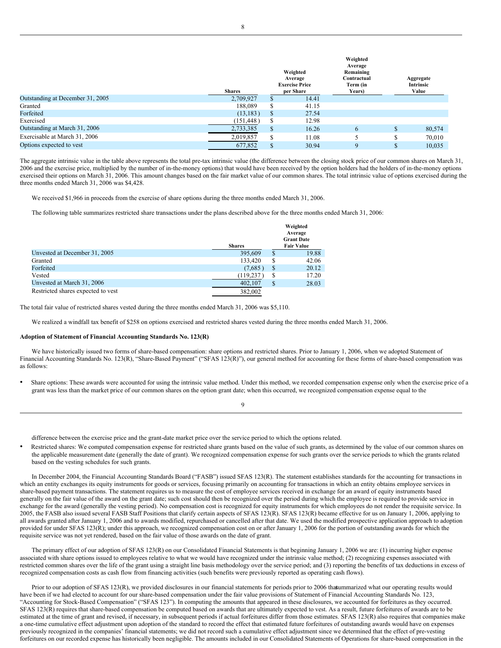|                                  | <b>Shares</b> |              | Weighted<br>Average<br><b>Exercise Price</b><br>per Share | Weighted<br>Average<br>Remaining<br>Contractual<br>Term (in<br>Years) | Aggregate<br>Intrinsic<br>Value |
|----------------------------------|---------------|--------------|-----------------------------------------------------------|-----------------------------------------------------------------------|---------------------------------|
| Outstanding at December 31, 2005 | 2,709,927     |              | 14.41                                                     |                                                                       |                                 |
| Granted                          | 188,089       | S            | 41.15                                                     |                                                                       |                                 |
| Forfeited                        | (13, 183)     | <sup>S</sup> | 27.54                                                     |                                                                       |                                 |
| Exercised                        | (151, 448)    | \$           | 12.98                                                     |                                                                       |                                 |
| Outstanding at March 31, 2006    | 2,733,385     | $\mathbb{S}$ | 16.26                                                     | 6                                                                     | \$<br>80,574                    |
| Exercisable at March 31, 2006    | 2,019,857     | \$           | 11.08                                                     |                                                                       | \$<br>70,010                    |
| Options expected to vest         | 677,852       | \$           | 30.94                                                     | 9                                                                     | \$<br>10.035                    |

The aggregate intrinsic value in the table above represents the total pre-tax intrinsic value (the difference between the closing stock price of our common shares on March 31, 2006 and the exercise price, multiplied by the number of in-the-money options) that would have been received by the option holders had the holders of in-the-money options exercised their options on March 31, 2006. This amount changes based on the fair market value of our common shares. The total intrinsic value of options exercised during the three months ended March 31, 2006 was \$4,428.

We received \$1,966 in proceeds from the exercise of share options during the three months ended March 31, 2006.

The following table summarizes restricted share transactions under the plans described above for the three months ended March 31, 2006:

|                                    | <b>Shares</b> |    | Weighted<br>Average<br><b>Grant Date</b><br><b>Fair Value</b> |
|------------------------------------|---------------|----|---------------------------------------------------------------|
| Unvested at December 31, 2005      | 395,609       | \$ | 19.88                                                         |
| Granted                            | 133,420       | S  | 42.06                                                         |
| Forfeited                          | (7,685)       | \$ | 20.12                                                         |
| Vested                             | (119,237)     | S  | 17.20                                                         |
| Unvested at March 31, 2006         | 402,107       | S  | 28.03                                                         |
| Restricted shares expected to vest | 382,002       |    |                                                               |

The total fair value of restricted shares vested during the three months ended March 31, 2006 was \$5,110.

We realized a windfall tax benefit of \$258 on options exercised and restricted shares vested during the three months ended March 31, 2006.

# **Adoption of Statement of Financial Accounting Standards No. 123(R)**

We have historically issued two forms of share-based compensation: share options and restricted shares. Prior to January 1, 2006, when we adopted Statement of Financial Accounting Standards No. 123(R), "Share-Based Payment" ("SFAS 123(R)"), our general method for accounting for these forms of share-based compensation was as follows:

Share options: These awards were accounted for using the intrinsic value method. Under this method, we recorded compensation expense only when the exercise price of a grant was less than the market price of our common shares on the option grant date; when this occurred, we recognized compensation expense equal to the

8

9

difference between the exercise price and the grant-date market price over the service period to which the options related.

Restricted shares: We computed compensation expense for restricted share grants based on the value of such grants, as determined by the value of our common shares on the applicable measurement date (generally the date of grant). We recognized compensation expense for such grants over the service periods to which the grants related based on the vesting schedules for such grants.

In December 2004, the Financial Accounting Standards Board ("FASB") issued SFAS 123(R). The statement establishes standards for the accounting for transactions in which an entity exchanges its equity instruments for goods or services, focusing primarily on accounting for transactions in which an entity obtains employee services in share-based payment transactions. The statement requires us to measure the cost of employee services received in exchange for an award of equity instruments based generally on the fair value of the award on the grant date; such cost should then be recognized over the period during which the employee is required to provide service in exchange for the award (generally the vesting period). No compensation cost is recognized for equity instruments for which employees do not render the requisite service. In 2005, the FASB also issued several FASB Staff Positions that clarify certain aspects of SFAS 123(R). SFAS 123(R) became effective for us on January 1, 2006, applying to all awards granted after January 1, 2006 and to awards modified, repurchased or cancelled after that date. We used the modified prospective application approach to adoption provided for under SFAS 123(R); under this approach, we recognized compensation cost on or after January 1, 2006 for the portion of outstanding awards for which the requisite service was not yet rendered, based on the fair value of those awards on the date of grant.

The primary effect of our adoption of SFAS 123(R) on our Consolidated Financial Statements is that beginning January 1, 2006 we are: (1) incurring higher expense associated with share options issued to employees relative to what we would have recognized under the intrinsic value method; (2) recognizing expenses associated with restricted common shares over the life of the grant using a straight line basis methodology over the service period; and (3) reporting the benefits of tax deductions in excess of recognized compensation costs as cash flow from financing activities (such benefits were previously reported as operating cash flows).

Prior to our adoption of SFAS 123(R), we provided disclosures in our financial statements for periods prior to 2006 thatummarized what our operating results would have been if we had elected to account for our share-based compensation under the fair value provisions of Statement of Financial Accounting Standards No. 123, "Accounting for Stock-Based Compensation" ("SFAS 123"). In computing the amounts that appeared in these disclosures, we accounted for forfeitures as they occurred. SFAS 123(R) requires that share-based compensation be computed based on awards that are ultimately expected to vest. As a result, future forfeitures of awards are to be estimated at the time of grant and revised, if necessary, in subsequent periods if actual forfeitures differ from those estimates. SFAS 123(R) also requires that companies make a one-time cumulative effect adjustment upon adoption of the standard to record the effect that estimated future forfeitures of outstanding awards would have on expenses previously recognized in the companies' financial statements; we did not record such a cumulative effect adjustment since we determined that the effect of pre-vesting forfeitures on our recorded expense has historically been negligible. The amounts included in our Consolidated Statements of Operations for share-based compensation in the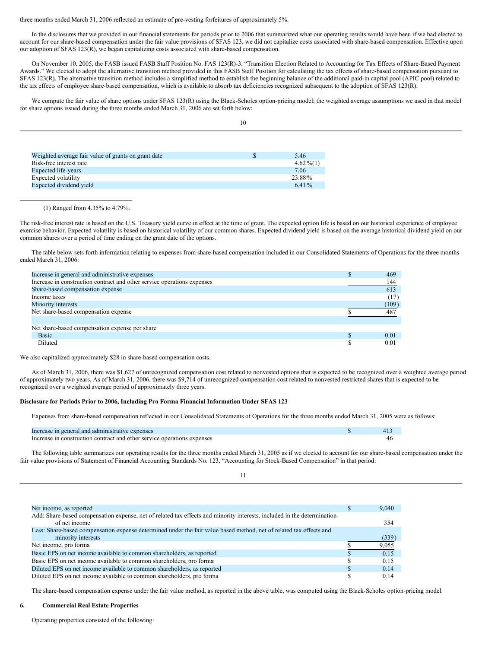#### three months ended March 31, 2006 reflected an estimate of pre-vesting forfeitures of approximately 5%.

In the disclosures that we provided in our financial statements for periods prior to 2006 that summarized what our operating results would have been if we had elected to account for our share-based compensation under the fair value provisions of SFAS 123, we did not capitalize costs associated with share-based compensation. Effective upon our adoption of SFAS 123(R), we began capitalizing costs associated with share-based compensation.

On November 10, 2005, the FASB issued FASB Staff Position No. FAS 123(R)-3, "Transition Election Related to Accounting for Tax Effects of Share-Based Payment Awards." We elected to adopt the alternative transition method provided in this FASB Staff Position for calculating the tax effects of share-based compensation pursuant to SFAS 123(R). The alternative transition method includes a simplified method to establish the beginning balance of the additional paid-in capital pool (APIC pool) related to the tax effects of employee share-based compensation, which is available to absorb tax deficiencies recognized subsequent to the adoption of SFAS 123(R).

We compute the fair value of share options under SFAS 123(R) using the Black-Scholes option-pricing model; the weighted average assumptions we used in that model for share options issued during the three months ended March 31, 2006 are set forth below:

| Weighted average fair value of grants on grant date | 5.46        |
|-----------------------------------------------------|-------------|
| Risk-free interest rate                             | $4.62\%(1)$ |
| Expected life-years                                 | 7.06        |
| Expected volatility                                 | 23.88%      |
| Expected dividend yield                             | $6.41\%$    |
|                                                     |             |

#### (1) Ranged from 4.35% to 4.79%.

The risk-free interest rate is based on the U.S. Treasury yield curve in effect at the time of grant. The expected option life is based on our historical experience of employee exercise behavior. Expected volatility is based on historical volatility of our common shares. Expected dividend yield is based on the average historical dividend yield on our common shares over a period of time ending on the grant date of the options.

The table below sets forth information relating to expenses from share-based compensation included in our Consolidated Statements of Operations for the three months ended March 31, 2006:

| Increase in general and administrative expenses                         | 469   |      |
|-------------------------------------------------------------------------|-------|------|
| Increase in construction contract and other service operations expenses | 144   |      |
| Share-based compensation expense                                        | 613   |      |
| Income taxes                                                            |       | (17) |
| Minority interests                                                      | (109) |      |
| Net share-based compensation expense                                    | 487   |      |
|                                                                         |       |      |
| Net share-based compensation expense per share                          |       |      |
| Basic                                                                   | 0.01  |      |
| Diluted                                                                 | 0.01  |      |

We also capitalized approximately \$28 in share-based compensation costs.

As of March 31, 2006, there was \$1,627 of unrecognized compensation cost related to nonvested options that is expected to be recognized over a weighted average period of approximately two years. As of March 31, 2006, there was \$9,714 of unrecognized compensation cost related to nonvested restricted shares that is expected to be recognized over a weighted average period of approximately three years.

#### **Disclosure for Periods Prior to 2006, Including Pro Forma Financial Information Under SFAS 123**

Expenses from share-based compensation reflected in our Consolidated Statements of Operations for the three months ended March 31, 2005 were as follows:

| Increase in general and administrative expenses                         |  |
|-------------------------------------------------------------------------|--|
| Increase in construction contract and other service operations expenses |  |

The following table summarizes our operating results for the three months ended March 31, 2005 as if we elected to account for our share-based compensation under the fair value provisions of Statement of Financial Accounting Standards No. 123, "Accounting for Stock-Based Compensation" in that period:

11

| Net income, as reported                                                                                                 | 9,040 |
|-------------------------------------------------------------------------------------------------------------------------|-------|
| Add: Share-based compensation expense, net of related tax effects and minority interests, included in the determination |       |
| of net income                                                                                                           | 354   |
| Less: Share-based compensation expense determined under the fair value based method, net of related tax effects and     |       |
| minority interests                                                                                                      | (339) |
| Net income, pro forma                                                                                                   | 9,055 |
| Basic EPS on net income available to common shareholders, as reported                                                   | 0.15  |
| Basic EPS on net income available to common shareholders, pro forma                                                     | 0.15  |
| Diluted EPS on net income available to common shareholders, as reported                                                 | 0.14  |
| Diluted EPS on net income available to common shareholders, pro forma                                                   | 0.14  |

The share-based compensation expense under the fair value method, as reported in the above table, was computed using the Black-Scholes option-pricing model.

#### **6. Commercial Real Estate Properties**

Operating properties consisted of the following: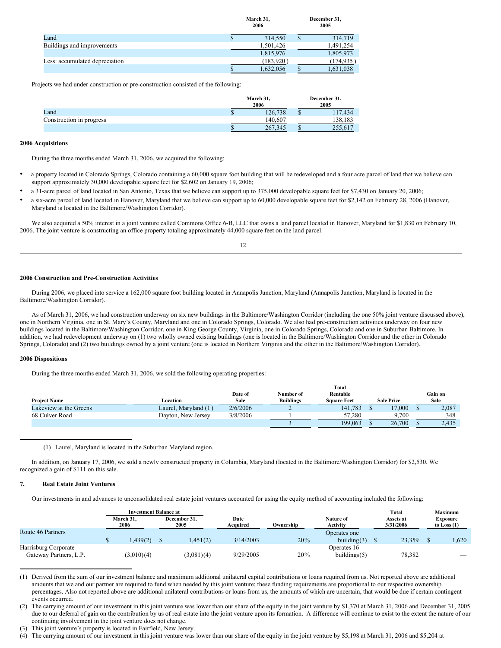|                                | March 31,<br>2006 |           |    | December 31,<br>2005 |
|--------------------------------|-------------------|-----------|----|----------------------|
| Land                           |                   | 314,550   | \$ | 314,719              |
| Buildings and improvements     |                   | 1,501,426 |    | 1,491,254            |
|                                |                   | 1,815,976 |    | 1,805,973            |
| Less: accumulated depreciation |                   | (183,920) |    | (174,935)            |
|                                |                   | 1,632,056 |    | 1,631,038            |

Projects we had under construction or pre-construction consisted of the following:

|                          | March 31,<br>2006 |         |        | December 31,<br>2005 |  |  |  |
|--------------------------|-------------------|---------|--------|----------------------|--|--|--|
| Land                     |                   | 126,738 | m<br>Φ | 117,434              |  |  |  |
| Construction in progress |                   | 140,607 |        | 38.183               |  |  |  |
|                          |                   | 267.345 | m<br>Φ | 255.617              |  |  |  |

# **2006 Acquisitions**

During the three months ended March 31, 2006, we acquired the following:

- a property located in Colorado Springs, Colorado containing a 60,000 square foot building that will be redeveloped and a four acre parcel of land that we believe can support approximately 30,000 developable square feet for \$2,602 on January 19, 2006;
- a 31-acre parcel of land located in San Antonio, Texas that we believe can support up to 375,000 developable square feet for \$7,430 on January 20, 2006;
- a six-acre parcel of land located in Hanover, Maryland that we believe can support up to 60,000 developable square feet for \$2,142 on February 28, 2006 (Hanover, Maryland is located in the Baltimore/Washington Corridor).

We also acquired a 50% interest in a joint venture called Commons Office 6-B, LLC that owns a land parcel located in Hanover, Maryland for \$1,830 on February 10, 2006. The joint venture is constructing an office property totaling approximately 44,000 square feet on the land parcel.

12

#### **2006 Construction and Pre-Construction Activities**

During 2006, we placed into service a 162,000 square foot building located in Annapolis Junction, Maryland (Annapolis Junction, Maryland is located in the Baltimore/Washington Corridor).

As of March 31, 2006, we had construction underway on six new buildings in the Baltimore/Washington Corridor (including the one 50% joint venture discussed above), one in Northern Virginia, one in St. Mary's County, Maryland and one in Colorado Springs, Colorado. We also had pre-construction activities underway on four new buildings located in the Baltimore/Washington Corridor, one in King George County, Virginia, one in Colorado Springs, Colorado and one in Suburban Baltimore. In addition, we had redevelopment underway on (1) two wholly owned existing buildings (one is located in the Baltimore/Washington Corridor and the other in Colorado Springs, Colorado) and (2) two buildings owned by a joint venture (one is located in Northern Virginia and the other in the Baltimore/Washington Corridor).

# **2006 Dispositions**

During the three months ended March 31, 2006, we sold the following operating properties:

|                        |                      |          |                  | Total              |                   |         |
|------------------------|----------------------|----------|------------------|--------------------|-------------------|---------|
|                        |                      | Date of  | Number of        | Rentable           |                   | Gain on |
| <b>Project Name</b>    | Location             | Sale     | <b>Buildings</b> | <b>Square Feet</b> | <b>Sale Price</b> | Sale    |
| Lakeview at the Greens | Laurel, Maryland (1) | 2/6/2006 |                  | 141.783            | 17.000            | 2.087   |
| 68 Culver Road         | Dayton, New Jersey   | 3/8/2006 |                  | 57.280             | 9.700             | 348     |
|                        |                      |          |                  | 199,063            | 26,700            | 2.435   |

(1) Laurel, Maryland is located in the Suburban Maryland region.

In addition, on January 17, 2006, we sold a newly constructed property in Columbia, Maryland (located in the Baltimore/Washington Corridor) for \$2,530. We recognized a gain of \$111 on this sale.

#### **7. Real Estate Joint Ventures**

Our investments in and advances to unconsolidated real estate joint ventures accounted for using the equity method of accounting included the following:

|                                                | <b>Investment Balance at</b> |                   |  |                      |                  |           |                            |  | Total                  |  | Maximum                          |
|------------------------------------------------|------------------------------|-------------------|--|----------------------|------------------|-----------|----------------------------|--|------------------------|--|----------------------------------|
|                                                |                              | March 31,<br>2006 |  | December 31,<br>2005 | Date<br>Acquired | Ownership | Nature of<br>Activity      |  | Assets at<br>3/31/2006 |  | <b>Exposure</b><br>to Loss $(1)$ |
| Route 46 Partners                              |                              |                   |  |                      |                  |           | Operates one               |  |                        |  |                                  |
|                                                |                              | 439(2)            |  | 451(2)               | 3/14/2003        | 20%       | building(3)                |  | 23.359                 |  | 1,620                            |
| Harrisburg Corporate<br>Gateway Partners, L.P. |                              | (3,010)(4)        |  | (3,081)(4)           | 9/29/2005        | 20%       | Operates 16<br>building(5) |  | 78,382                 |  | $\qquad \qquad$                  |

(1) Derived from the sum of our investment balance and maximum additional unilateral capital contributions or loans required from us. Not reported above are additional amounts that we and our partner are required to fund when needed by this joint venture; these funding requirements are proportional to our respective ownership percentages. Also not reported above are additional unilateral contributions or loans from us, the amounts of which are uncertain, that would be due if certain contingent events occurred.

(2) The carrying amount of our investment in this joint venture was lower than our share of the equity in the joint venture by \$1,370 at March 31, 2006 and December 31, 2005 due to our deferral of gain on the contribution by us of real estate into the joint venture upon its formation. A difference will continue to exist to the extent the nature of our continuing involvement in the joint venture does not change.

(3) This joint venture's property is located in Fairfield, New Jersey.

(4) The carrying amount of our investment in this joint venture was lower than our share of the equity in the joint venture by \$5,198 at March 31, 2006 and \$5,204 at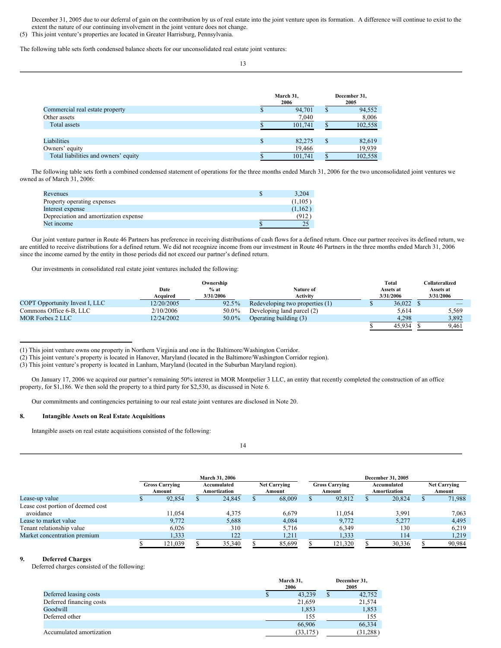December 31, 2005 due to our deferral of gain on the contribution by us of real estate into the joint venture upon its formation. A difference will continue to exist to the extent the nature of our continuing involvement in the joint venture does not change.

(5) This joint venture's properties are located in Greater Harrisburg, Pennsylvania.

The following table sets forth condensed balance sheets for our unconsolidated real estate joint ventures:

13

|                                      | March 31,<br>2006 |    | December 31,<br>2005 |
|--------------------------------------|-------------------|----|----------------------|
| Commercial real estate property      | 94,701            | S. | 94,552               |
| Other assets                         | 7,040             |    | 8,006                |
| Total assets                         | 101.741           |    | 102,558              |
| Liabilities                          | \$<br>82,275      | \$ | 82,619               |
| Owners' equity                       | 19,466            |    | 19,939               |
| Total liabilities and owners' equity | 101,741           |    | 102,558              |

The following table sets forth a combined condensed statement of operations for the three months ended March 31, 2006 for the two unconsolidated joint ventures we owned as of March 31, 2006:

| Revenues                              | 3.204   |
|---------------------------------------|---------|
| Property operating expenses           | (1,105) |
| Interest expense                      | (1,162) |
| Depreciation and amortization expense | (912)   |
| Net income                            |         |

Our joint venture partner in Route 46 Partners has preference in receiving distributions of cash flows for a defined return. Once our partner receives its defined return, we are entitled to receive distributions for a defined return. We did not recognize income from our investment in Route 46 Partners in the three months ended March 31, 2006 since the income earned by the entity in those periods did not exceed our partner's defined return.

Our investments in consolidated real estate joint ventures included the following:

|                                       |                  | Ownership           | <b>Nature of</b><br>Activity    |  | Total<br>Assets at<br>3/31/2006 |  | Collateralized         |
|---------------------------------------|------------------|---------------------|---------------------------------|--|---------------------------------|--|------------------------|
|                                       | Date<br>Acquired | $%$ at<br>3/31/2006 |                                 |  |                                 |  | Assets at<br>3/31/2006 |
| <b>COPT Opportunity Invest I, LLC</b> | 12/20/2005       | 92.5%               | Redeveloping two properties (1) |  | 36,022                          |  |                        |
| Commons Office 6-B, LLC               | 2/10/2006        | 50.0%               | Developing land parcel (2)      |  | 5.614                           |  | 5,569                  |
| MOR Forbes 2 LLC                      | 12/24/2002       | 50.0%               | Operating building (3)          |  | 4.298                           |  | 3,892                  |
|                                       |                  |                     |                                 |  | 45.934                          |  | 9.461                  |

<sup>(1)</sup> This joint venture owns one property in Northern Virginia and one in the Baltimore/Washington Corridor.

(2) This joint venture's property is located in Hanover, Maryland (located in the Baltimore/Washington Corridor region).

On January 17, 2006 we acquired our partner's remaining 50% interest in MOR Montpelier 3 LLC, an entity that recently completed the construction of an office property, for \$1,186. We then sold the property to a third party for \$2,530, as discussed in Note 6.

Our commitments and contingencies pertaining to our real estate joint ventures are disclosed in Note 20.

#### **8. Intangible Assets on Real Estate Acquisitions**

Intangible assets on real estate acquisitions consisted of the following:

14

|                                   |                                 | March 31, 2006              |                               |                                 | December 31, 2005           |                               |
|-----------------------------------|---------------------------------|-----------------------------|-------------------------------|---------------------------------|-----------------------------|-------------------------------|
|                                   | <b>Gross Carrying</b><br>Amount | Accumulated<br>Amortization | <b>Net Carrying</b><br>Amount | <b>Gross Carrying</b><br>Amount | Accumulated<br>Amortization | <b>Net Carrying</b><br>Amount |
| Lease-up value                    | 92,854                          | 24.845                      | 68,009                        | 92,812                          | 20,824                      | 71,988                        |
| Lease cost portion of deemed cost |                                 |                             |                               |                                 |                             |                               |
| avoidance                         | 1.054                           | 4.375                       | 6.679                         | 11.054                          | 3.991                       | 7.063                         |
| Lease to market value             | 9.772                           | 5,688                       | 4.084                         | 9.772                           | 5,277                       | 4.495                         |
| Tenant relationship value         | 6.026                           | 310                         | 5.716                         | 6,349                           | 130                         | 6,219                         |
| Market concentration premium      | 1,333                           | 122                         | 1,211                         | 1,333                           | 114                         | 1,219                         |
|                                   | 121,039                         | 35.340                      | 85,699                        | 121.320                         | 30.336                      | 90.984                        |

# **9. Deferred Charges**

Deferred charges consisted of the following:

|                          | March 31,<br>2006 |   |           |
|--------------------------|-------------------|---|-----------|
| Deferred leasing costs   | 43.239            | S | 42,752    |
| Deferred financing costs | 21,659            |   | 21,574    |
| Goodwill                 | 1.853             |   | 1,853     |
| Deferred other           | 155               |   | 155       |
|                          | 66,906            |   | 66,334    |
| Accumulated amortization | (33, 175)         |   | (31, 288) |

<sup>(3)</sup> This joint venture's property is located in Lanham, Maryland (located in the Suburban Maryland region).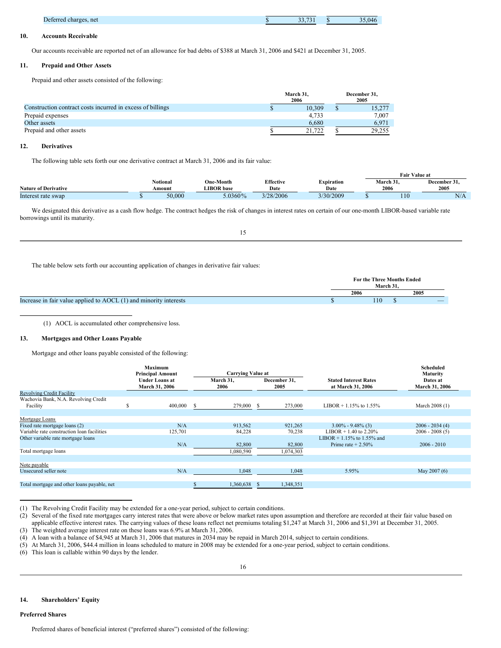| De.<br>net<br>charges<br>$-$ | $-$ | 046 |
|------------------------------|-----|-----|
|                              |     |     |

#### **10. Accounts Receivable**

Our accounts receivable are reported net of an allowance for bad debts of \$388 at March 31, 2006 and \$421 at December 31, 2005.

## **11. Prepaid and Other Assets**

Prepaid and other assets consisted of the following:

|                                                            | March 31.<br>2006 | December 31,<br>2005 |
|------------------------------------------------------------|-------------------|----------------------|
| Construction contract costs incurred in excess of billings | 10.309            | 15,277               |
| Prepaid expenses                                           | 4.733             | 7.007                |
| Other assets                                               | 6.680             | 6.971                |
| Prepaid and other assets                                   | 21,722            | 29.255               |

#### **12. Derivatives**

The following table sets forth our one derivative contract at March 31, 2006 and its fair value:

|                             |          |                  |                  |           | .<br>Fair Value at |              |
|-----------------------------|----------|------------------|------------------|-----------|--------------------|--------------|
|                             | Notional | <b>One-Month</b> | <b>Effective</b> | xpiration | March 31.          | December 31. |
| <b>Nature of Derivative</b> | Amount   | <b>IBOR</b> base | Date             | Date      | 2006               | 2005         |
| Interest rate swap          | 50.000   | $5.0360\%$       | 3/28/2006        | 3/30/2009 |                    | N/A          |

We designated this derivative as a cash flow hedge. The contract hedges the risk of changes in interest rates on certain of our one-month LIBOR-based variable rate borrowings until its maturity.

15 The table below sets forth our accounting application of changes in derivative fair values:

|                                                                   | For the Three Months Ended<br>March 31. |      |  |
|-------------------------------------------------------------------|-----------------------------------------|------|--|
|                                                                   | 2006                                    | 2005 |  |
| Increase in fair value applied to AOCL (1) and minority interests |                                         |      |  |
|                                                                   |                                         |      |  |

(1) AOCL is accumulated other comprehensive loss.

# **13. Mortgages and Other Loans Payable**

Mortgage and other loans payable consisted of the following:

|                                             | Maximum<br><b>Principal Amount</b>             | <b>Carrying Value at</b> |                      |                                                   | <b>Scheduled</b><br>Maturity |
|---------------------------------------------|------------------------------------------------|--------------------------|----------------------|---------------------------------------------------|------------------------------|
|                                             | <b>Under Loans at</b><br><b>March 31, 2006</b> | March 31,<br>2006        | December 31.<br>2005 | <b>Stated Interest Rates</b><br>at March 31, 2006 | Dates at<br>March 31, 2006   |
| <b>Revolving Credit Facility</b>            |                                                |                          |                      |                                                   |                              |
| Wachovia Bank, N.A. Revolving Credit        |                                                |                          |                      |                                                   |                              |
| Facility                                    | 400,000<br>S                                   | 279,000 \$<br>S.         | 273,000              | LIBOR + 1.15% to 1.55%                            | March 2008 (1)               |
|                                             |                                                |                          |                      |                                                   |                              |
| Mortgage Loans                              |                                                |                          |                      |                                                   |                              |
| Fixed rate mortgage loans (2)               | N/A                                            | 913,562                  | 921,265              | $3.00\% - 9.48\%$ (3)                             | $2006 - 2034(4)$             |
| Variable rate construction loan facilities  | 125,701                                        | 84,228                   | 70,238               | LIBOR $+ 1.40$ to 2.20%                           | $2006 - 2008(5)$             |
| Other variable rate mortgage loans          |                                                |                          |                      | LIBOR + $1.15%$ to 1.55% and                      |                              |
|                                             | N/A                                            | 82,800                   | 82,800               | Prime rate $+2.50\%$                              | $2006 - 2010$                |
| Total mortgage loans                        |                                                | 1,080,590                | 1,074,303            |                                                   |                              |
|                                             |                                                |                          |                      |                                                   |                              |
| Note payable                                |                                                |                          |                      |                                                   |                              |
| Unsecured seller note                       | N/A                                            | 1,048                    | 1,048                | 5.95%                                             | May 2007 (6)                 |
|                                             |                                                |                          |                      |                                                   |                              |
| Total mortgage and other loans payable, net |                                                | 1,360,638                | 1,348,351<br>-8      |                                                   |                              |

(1) The Revolving Credit Facility may be extended for a one-year period, subject to certain conditions.

(2) Several of the fixed rate mortgages carry interest rates that were above or below market rates upon assumption and therefore are recorded at their fair value based on applicable effective interest rates. The carrying values of these loans reflect net premiums totaling \$1,247 at March 31, 2006 and \$1,391 at December 31, 2005. (3) The weighted average interest rate on these loans was 6.9% at March 31, 2006.

(4) A loan with a balance of \$4,945 at March 31, 2006 that matures in 2034 may be repaid in March 2014, subject to certain conditions.

(5) At March 31, 2006, \$44.4 million in loans scheduled to mature in 2008 may be extended for a one-year period, subject to certain conditions.

(6) This loan is callable within 90 days by the lender.

# **14. Shareholders' Equity**

#### **Preferred Shares**

Preferred shares of beneficial interest ("preferred shares") consisted of the following: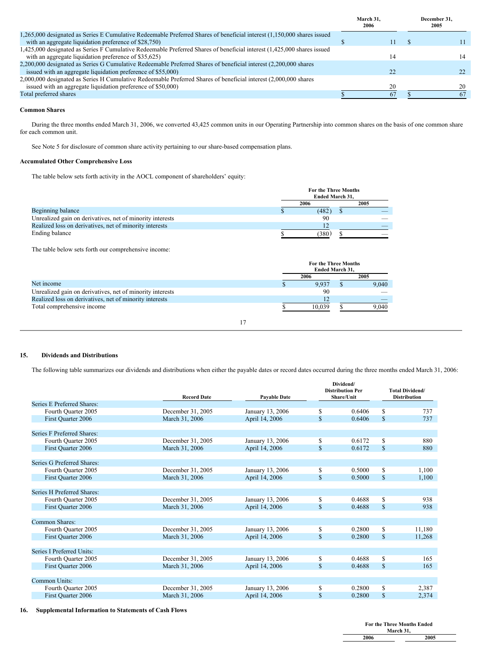|                                                                                                                                                                                  | March 31,<br>2006 |    | December 31,<br>2005 |
|----------------------------------------------------------------------------------------------------------------------------------------------------------------------------------|-------------------|----|----------------------|
| 1,265,000 designated as Series E Cumulative Redeemable Preferred Shares of beneficial interest (1,150,000 shares issued<br>with an aggregate liquidation preference of \$28,750) |                   |    |                      |
| 1,425,000 designated as Series F Cumulative Redeemable Preferred Shares of beneficial interest (1,425,000 shares issued<br>with an aggregate liquidation preference of \$35,625) |                   | 14 |                      |
| 2,200,000 designated as Series G Cumulative Redeemable Preferred Shares of beneficial interest (2,200,000 shares<br>issued with an aggregate liquidation preference of \$55,000) |                   | 22 |                      |
| 2,000,000 designated as Series H Cumulative Redeemable Preferred Shares of beneficial interest (2,000,000 shares<br>issued with an aggregate liquidation preference of \$50,000) |                   | 20 | 20                   |
| Total preferred shares                                                                                                                                                           |                   | 67 | 67                   |

# **Common Shares**

During the three months ended March 31, 2006, we converted 43,425 common units in our Operating Partnership into common shares on the basis of one common share for each common unit.

See Note 5 for disclosure of common share activity pertaining to our share-based compensation plans.

# **Accumulated Other Comprehensive Loss**

The table below sets forth activity in the AOCL component of shareholders' equity:

|                                                           | <b>For the Three Months</b><br><b>Ended March 31.</b> |       |  |      |  |
|-----------------------------------------------------------|-------------------------------------------------------|-------|--|------|--|
|                                                           | 2006                                                  |       |  | 2005 |  |
| Beginning balance                                         |                                                       | (482) |  |      |  |
| Unrealized gain on derivatives, net of minority interests |                                                       | 90    |  |      |  |
| Realized loss on derivatives, net of minority interests   |                                                       |       |  |      |  |
| Ending balance                                            |                                                       | 380   |  |      |  |

The table below sets forth our comprehensive income:

|                                                           | <b>For the Three Months</b><br><b>Ended March 31.</b> |  |       |  |
|-----------------------------------------------------------|-------------------------------------------------------|--|-------|--|
|                                                           | 2006                                                  |  | 2005  |  |
| Net income                                                | 9.937                                                 |  | 9,040 |  |
| Unrealized gain on derivatives, net of minority interests | 90                                                    |  |       |  |
| Realized loss on derivatives, net of minority interests   |                                                       |  |       |  |
| Total comprehensive income                                | 10.039                                                |  | 9.040 |  |
|                                                           |                                                       |  |       |  |

# 17

# **15. Dividends and Distributions**

The following table summarizes our dividends and distributions when either the payable dates or record dates occurred during the three months ended March 31, 2006:

|                            | <b>Record Date</b> | <b>Payable Date</b> |              | Dividend/<br><b>Distribution Per</b><br>Share/Unit | <b>Total Dividend/</b><br><b>Distribution</b> |        |  |
|----------------------------|--------------------|---------------------|--------------|----------------------------------------------------|-----------------------------------------------|--------|--|
| Series E Preferred Shares: |                    |                     |              |                                                    |                                               |        |  |
| Fourth Quarter 2005        | December 31, 2005  | January 13, 2006    | \$           | 0.6406                                             | S                                             | 737    |  |
| First Ouarter 2006         | March 31, 2006     | April 14, 2006      | \$           | 0.6406                                             | \$                                            | 737    |  |
| Series F Preferred Shares: |                    |                     |              |                                                    |                                               |        |  |
| Fourth Quarter 2005        | December 31, 2005  | January 13, 2006    | \$           | 0.6172                                             | \$                                            | 880    |  |
| First Ouarter 2006         | March 31, 2006     | April 14, 2006      | \$           | 0.6172                                             | \$                                            | 880    |  |
| Series G Preferred Shares: |                    |                     |              |                                                    |                                               |        |  |
| Fourth Quarter 2005        | December 31, 2005  | January 13, 2006    | \$           | 0.5000                                             | \$                                            | 1,100  |  |
| First Quarter 2006         | March 31, 2006     | April 14, 2006      | \$           | 0.5000                                             | <sup>\$</sup>                                 | 1,100  |  |
| Series H Preferred Shares: |                    |                     |              |                                                    |                                               |        |  |
| Fourth Quarter 2005        | December 31, 2005  | January 13, 2006    | \$           | 0.4688                                             | \$                                            | 938    |  |
| First Ouarter 2006         | March 31, 2006     | April 14, 2006      | $\mathbb{S}$ | 0.4688                                             | \$                                            | 938    |  |
| Common Shares:             |                    |                     |              |                                                    |                                               |        |  |
| Fourth Quarter 2005        | December 31, 2005  | January 13, 2006    | \$           | 0.2800                                             | $\mathbb{S}$                                  | 11,180 |  |
| First Ouarter 2006         | March 31, 2006     | April 14, 2006      | \$           | 0.2800                                             | \$                                            | 11,268 |  |
| Series I Preferred Units:  |                    |                     |              |                                                    |                                               |        |  |
| Fourth Quarter 2005        | December 31, 2005  | January 13, 2006    | \$           | 0.4688                                             | $\mathbb{S}$                                  | 165    |  |
| First Quarter 2006         | March 31, 2006     | April 14, 2006      | \$           | 0.4688                                             | $\mathbb{S}$                                  | 165    |  |
| Common Units:              |                    |                     |              |                                                    |                                               |        |  |
| Fourth Quarter 2005        | December 31, 2005  | January 13, 2006    | S            | 0.2800                                             | \$                                            | 2,387  |  |
| First Ouarter 2006         | March 31, 2006     | April 14, 2006      | \$           | 0.2800                                             | \$                                            | 2,374  |  |

**16. Supplemental Information to Statements of Cash Flows**

|      | <b>For the Three Months Ended</b><br>March 31. |
|------|------------------------------------------------|
| 2006 | 2005                                           |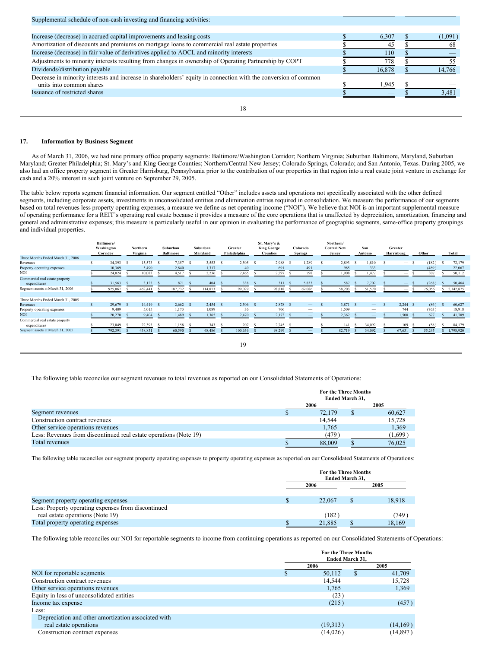| Supplemental schedule of non-cash investing and financing activities:                                           |        |         |
|-----------------------------------------------------------------------------------------------------------------|--------|---------|
|                                                                                                                 |        |         |
| Increase (decrease) in accrued capital improvements and leasing costs                                           | 6,307  | (1,091) |
| Amortization of discounts and premiums on mortgage loans to commercial real estate properties                   | 45     | 68      |
| Increase (decrease) in fair value of derivatives applied to AOCL and minority interests                         | 110    |         |
| Adjustments to minority interests resulting from changes in ownership of Operating Partnership by COPT          | 778    |         |
| Dividends/distribution payable                                                                                  | 16,878 | 14,766  |
| Decrease in minority interests and increase in shareholders' equity in connection with the conversion of common |        |         |
| units into common shares                                                                                        | 1,945  |         |
| Issuance of restricted shares                                                                                   |        | 3,481   |
|                                                                                                                 |        |         |

18

#### **17. Information by Business Segment**

As of March 31, 2006, we had nine primary office property segments: Baltimore/Washington Corridor; Northern Virginia; Suburban Baltimore, Maryland, Suburban Maryland; Greater Philadelphia; St. Mary's and King George Counties; Northern/Central New Jersey; Colorado Springs, Colorado; and San Antonio, Texas. During 2005, we also had an office property segment in Greater Harrisburg, Pennsylvania prior to the contribution of our properties in that region into a real estate joint venture in exchange for cash and a 20% interest in such joint venture on September 29, 2005.

The table below reports segment financial information. Our segment entitled "Other" includes assets and operations not specifically associated with the other defined segments, including corporate assets, investments in unconsolidated entities and elimination entries required in consolidation. We measure the performance of our segments based on total revenues less property operating expenses, a measure we define as net operating income ("NOI"). We believe that NOI is an important supplemental measure of operating performance for a REIT's operating real estate because it provides a measure of the core operations that is unaffected by depreciation, amortization, financing and general and administrative expenses; this measure is particularly useful in our opinion in evaluating the performance of geographic segments, same-office property groupings and individual properties.

|                                                 | Baltimore/<br>Washington<br>Corridor | Northern<br>Virginia |      | Suburban<br><b>Baltimore</b> |    | Suburban<br>Maryland |     | Greater<br>Philadelphia |    | St. Mary's &<br><b>King George</b><br>Counties |    | Colorado<br><b>Springs</b>      |      | Northern/<br><b>Central New</b><br><b>Jersey</b> | San<br>Antonio           |    | Greater<br>Harrisburg                 | Other  |    | Total       |
|-------------------------------------------------|--------------------------------------|----------------------|------|------------------------------|----|----------------------|-----|-------------------------|----|------------------------------------------------|----|---------------------------------|------|--------------------------------------------------|--------------------------|----|---------------------------------------|--------|----|-------------|
| Three Months Ended March 31, 2006               |                                      |                      |      |                              |    |                      |     |                         |    |                                                |    |                                 |      |                                                  |                          |    |                                       |        |    |             |
| Revenues                                        | 34,393 S                             | 15,573               | -S   | 7,357                        | -S | 3,553                | - S | 2,505                   | -S | 2,988                                          | -S | 1,289                           | - 55 | 2,893 S                                          | 1,810                    | -S | $-$ S                                 | (182)  | s  | 72,179      |
| Property operating expenses                     | 10,369                               | 5,490                |      | 2,840                        |    | 1,317                |     | 40                      |    | 691                                            |    | 491                             |      | 985                                              | 333                      |    | $\overline{\phantom{a}}$              | (489)  |    | 22,067      |
| <b>NOI</b>                                      | 24,024                               | 10,083               |      | 4,517                        |    | 2,236                |     | 2,465                   |    | 2,297                                          |    | 798                             |      | 1,908                                            | 1,477                    |    | $\hspace{1.0cm} \rule{1.5cm}{0.15cm}$ | 307    |    | 50,112      |
| Commercial real estate property<br>expenditures | 31,563                               | 3,123                |      | 871                          |    | 404                  |     | 338                     |    | 311                                            |    | 5,833                           |      | 587                                              | 7,702                    |    | $\qquad \qquad -$                     | (268)  |    | 50,464      |
| Segment assets at March 31, 2006                | 925,067                              | 462,441              |      | 187,732                      |    | 114,873              |     | 99,029                  |    | 98,818                                         |    | 69,086                          |      | 58,203                                           | 51,570                   |    | $\overline{\phantom{a}}$              | 76,056 |    | \$2,142,875 |
|                                                 |                                      |                      |      |                              |    |                      |     |                         |    |                                                |    |                                 |      |                                                  |                          |    |                                       |        |    |             |
| Three Months Ended March 31, 2005               |                                      |                      |      |                              |    |                      |     |                         |    |                                                |    |                                 |      |                                                  |                          |    |                                       |        |    |             |
| Revenues                                        | 29.679 S                             | 14,419               | - \$ | 2,662                        | -S | 2,454                | - 8 | 2,506                   | -8 | 2,878 \$                                       |    | $\overline{\phantom{a}}$        |      | 3,871 S                                          | $\overline{\phantom{0}}$ |    | $2,244$ \$                            | (86)   | -8 | 60,627      |
| Property operating expenses                     | 9,409                                | 5,015                |      | 1,173                        |    | 1,089                |     | 36                      |    | 706                                            |    | $\hspace{0.1mm}-\hspace{0.1mm}$ |      | 1,509                                            | $\overline{\phantom{a}}$ |    | 744                                   | (763)  |    | 18,918      |
| <b>NOI</b>                                      | 20,270                               | 9,404                |      | 1,489                        |    | 1.365                |     | 2,470                   |    | 2,172                                          |    | $\overline{\phantom{a}}$        |      | 2,362                                            |                          |    | 1.500                                 | 677    |    | 41,709      |
| Commercial real estate property<br>expenditures | 23,049                               | 22,393               |      | 1,158                        |    | 343                  |     | 207                     |    | 2,745                                          |    | $\overline{\phantom{a}}$        |      | 141                                              | 34,092                   |    | 109                                   | (58)   |    | 84,179      |
| Segment assets at March 31, 2005                | 792,391                              | 438,831              |      | 60,590                       |    | 68,486               |     | 100,636                 |    | 98,299                                         |    |                                 |      | 82,719                                           | 34,092                   |    | 67,631                                | 55,245 |    | 1,798,920   |
|                                                 |                                      |                      |      |                              |    |                      |     | 19                      |    |                                                |    |                                 |      |                                                  |                          |    |                                       |        |    |             |

The following table reconciles our segment revenues to total revenues as reported on our Consolidated Statements of Operations:

|                                                                   | <b>For the Three Months</b> | <b>Ended March 31.</b> |         |
|-------------------------------------------------------------------|-----------------------------|------------------------|---------|
|                                                                   | 2006                        |                        | 2005    |
| Segment revenues                                                  | 72,179                      |                        | 60.627  |
| Construction contract revenues                                    | 14.544                      |                        | 15,728  |
| Other service operations revenues                                 | 1.765                       |                        | 1,369   |
| Less: Revenues from discontinued real estate operations (Note 19) | (479)                       |                        | (1,699) |
| Total revenues                                                    | 88,009                      |                        | 76.025  |

The following table reconciles our segment property operating expenses to property operating expenses as reported on our Consolidated Statements of Operations:

|                                                                                         | <b>For the Three Months</b> | <b>Ended March 31.</b> |        |
|-----------------------------------------------------------------------------------------|-----------------------------|------------------------|--------|
|                                                                                         | 2006                        |                        | 2005   |
| Segment property operating expenses                                                     | 22,067                      |                        | 18,918 |
| Less: Property operating expenses from discontinued<br>real estate operations (Note 19) | (182                        |                        | (749   |
| Total property operating expenses                                                       | 21,885                      |                        | 18,169 |

The following table reconciles our NOI for reportable segments to income from continuing operations as reported on our Consolidated Statements of Operations:

|                                                     | <b>For the Three Months</b><br><b>Ended March 31.</b> |   |           |
|-----------------------------------------------------|-------------------------------------------------------|---|-----------|
|                                                     | 2006                                                  |   | 2005      |
| NOI for reportable segments                         | 50,112                                                | ъ | 41,709    |
| Construction contract revenues                      | 14,544                                                |   | 15,728    |
| Other service operations revenues                   | 1.765                                                 |   | 1,369     |
| Equity in loss of unconsolidated entities           | (23)                                                  |   |           |
| Income tax expense                                  | (215)                                                 |   | (457)     |
| Less:                                               |                                                       |   |           |
| Depreciation and other amortization associated with |                                                       |   |           |
| real estate operations                              | (19,313)                                              |   | (14, 169) |
| Construction contract expenses                      | (14,026)                                              |   | (14, 897) |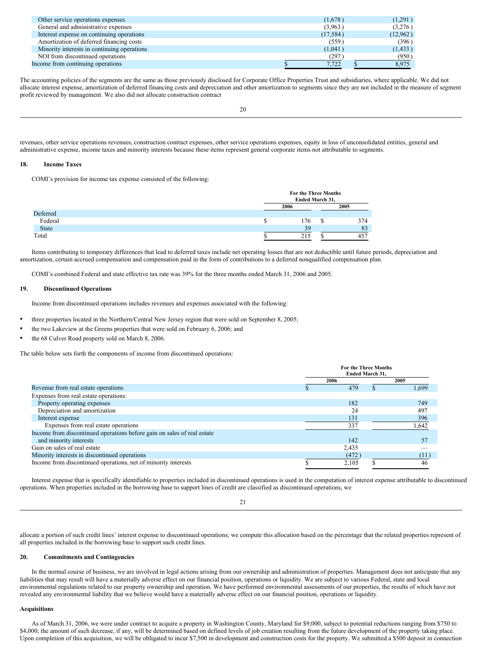| Other service operations expenses           | (1,678)   | (1,291)  |
|---------------------------------------------|-----------|----------|
| General and administrative expenses         | (3,963)   | (3,276)  |
| Interest expense on continuing operations   | (17, 584) | (12,962) |
| Amortization of deferred financing costs    | (559)     | (396)    |
| Minority interests in continuing operations | (1,041)   | (1, 433) |
| NOI from discontinued operations            | (297)     | (950)    |
| Income from continuing operations           | 7.722     | 8,975    |
|                                             |           |          |

The accounting policies of the segments are the same as those previously disclosed for Corporate Office Properties Trust and subsidiaries, where applicable. We did not allocate interest expense, amortization of deferred financing costs and depreciation and other amortization to segments since they are not included in the measure of segment profit reviewed by management. We also did not allocate construction contract

revenues, other service operations revenues, construction contract expenses, other service operations expenses, equity in loss of unconsolidated entities, general and administrative expense, income taxes and minority interests because these items represent general corporate items not attributable to segments.

# **18. Income Taxes**

COMI's provision for income tax expense consisted of the following:

|              | <b>For the Three Months</b><br>Ended March 31, |   |                 |
|--------------|------------------------------------------------|---|-----------------|
|              | 2006                                           |   | 2005            |
| Deferred     |                                                |   |                 |
| Federal      | 176                                            | D | 374             |
| <b>State</b> | 39                                             |   | 83              |
| Total        | 215                                            |   | 45 <sup>7</sup> |

Items contributing to temporary differences that lead to deferred taxes include net operating losses that are not deductible until future periods, depreciation and amortization, certain accrued compensation and compensation paid in the form of contributions to a deferred nonqualified compensation plan.

COMI's combined Federal and state effective tax rate was 39% for the three months ended March 31, 2006 and 2005.

# **19. Discontinued Operations**

Income from discontinued operations includes revenues and expenses associated with the following:

• three properties located in the Northern/Central New Jersey region that were sold on September 8, 2005;

- the two Lakeview at the Greens properties that were sold on February 6, 2006; and
- the 68 Culver Road property sold on March 8, 2006.

The table below sets forth the components of income from discontinued operations:

|                                                                         |       | <b>For the Three Months</b><br><b>Ended March 31.</b> |       |
|-------------------------------------------------------------------------|-------|-------------------------------------------------------|-------|
|                                                                         | 2006  |                                                       | 2005  |
| Revenue from real estate operations                                     | 479   |                                                       | 1,699 |
| Expenses from real estate operations:                                   |       |                                                       |       |
| Property operating expenses                                             | 182   |                                                       | 749   |
| Depreciation and amortization                                           | 24    |                                                       | 497   |
| Interest expense                                                        | 131   |                                                       | 396   |
| Expenses from real estate operations                                    | 337   |                                                       | 1,642 |
| Income from discontinued operations before gain on sales of real estate |       |                                                       |       |
| and minority interests                                                  | 142   |                                                       | 57    |
| Gain on sales of real estate                                            | 2,435 |                                                       |       |
| Minority interests in discontinued operations                           | (472) |                                                       | (11   |
| Income from discontinued operations, net of minority interests          | 2.105 |                                                       | 46    |

Interest expense that is specifically identifiable to properties included in discontinued operations is used in the computation of interest expense attributable to discontinued operations. When properties included in the borrowing base to support lines of credit are classified as discontinued operations, we

21

allocate a portion of such credit lines' interest expense to discontinued operations; we compute this allocation based on the percentage that the related properties represent of all properties included in the borrowing base to support such credit lines.

# **20. Commitments and Contingencies**

In the normal course of business, we are involved in legal actions arising from our ownership and administration of properties. Management does not anticipate that any liabilities that may result will have a materially adverse effect on our financial position, operations or liquidity. We are subject to various Federal, state and local environmental regulations related to our property ownership and operation. We have performed environmental assessments of our properties, the results of which have not revealed any environmental liability that we believe would have a materially adverse effect on our financial position, operations or liquidity.

# **Acquisitions**

As of March 31, 2006, we were under contract to acquire a property in Washington County, Maryland for \$9,000, subject to potential reductions ranging from \$750 to \$4,000; the amount of such decrease, if any, will be determined based on defined levels of job creation resulting from the future development of the property taking place. Upon completion of this acquisition, we will be obligated to incur \$7,500 in development and construction costs for the property. We submitted a \$500 deposit in connection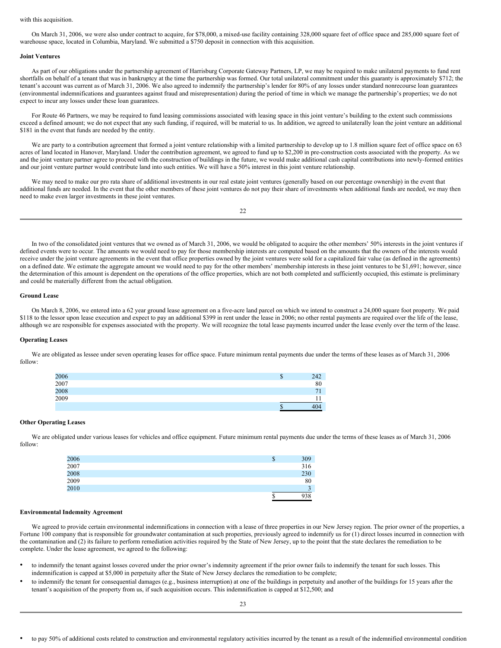#### with this acquisition.

On March 31, 2006, we were also under contract to acquire, for \$78,000, a mixed-use facility containing 328,000 square feet of office space and 285,000 square feet of warehouse space, located in Columbia, Maryland. We submitted a \$750 deposit in connection with this acquisition.

#### **Joint Ventures**

As part of our obligations under the partnership agreement of Harrisburg Corporate Gateway Partners, LP, we may be required to make unilateral payments to fund rent shortfalls on behalf of a tenant that was in bankruptcy at the time the partnership was formed. Our total unilateral commitment under this guaranty is approximately \$712; the tenant's account was current as of March 31, 2006. We also agreed to indemnify the partnership's lender for 80% of any losses under standard nonrecourse loan guarantees (environmental indemnifications and guarantees against fraud and misrepresentation) during the period of time in which we manage the partnership's properties; we do not expect to incur any losses under these loan guarantees.

For Route 46 Partners, we may be required to fund leasing commissions associated with leasing space in this joint venture's building to the extent such commissions exceed a defined amount; we do not expect that any such funding, if required, will be material to us. In addition, we agreed to unilaterally loan the joint venture an additional \$181 in the event that funds are needed by the entity.

We are party to a contribution agreement that formed a joint venture relationship with a limited partnership to develop up to 1.8 million square feet of office space on 63 acres of land located in Hanover, Maryland. Under the contribution agreement, we agreed to fund up to \$2,200 in pre-construction costs associated with the property. As we and the joint venture partner agree to proceed with the construction of buildings in the future, we would make additional cash capital contributions into newly-formed entities and our joint venture partner would contribute land into such entities. We will have a 50% interest in this joint venture relationship.

We may need to make our pro rata share of additional investments in our real estate joint ventures (generally based on our percentage ownership) in the event that additional funds are needed. In the event that the other members of these joint ventures do not pay their share of investments when additional funds are needed, we may then need to make even larger investments in these joint ventures.

22

In two of the consolidated joint ventures that we owned as of March 31, 2006, we would be obligated to acquire the other members' 50% interests in the joint ventures if defined events were to occur. The amounts we would need to pay for those membership interests are computed based on the amounts that the owners of the interests would receive under the joint venture agreements in the event that office properties owned by the joint ventures were sold for a capitalized fair value (as defined in the agreements) on a defined date. We estimate the aggregate amount we would need to pay for the other members' membership interests in these joint ventures to be \$1,691; however, since the determination of this amount is dependent on the operations of the office properties, which are not both completed and sufficiently occupied, this estimate is preliminary and could be materially different from the actual obligation.

# **Ground Lease**

On March 8, 2006, we entered into a 62 year ground lease agreement on a five-acre land parcel on which we intend to construct a 24,000 square foot property. We paid \$118 to the lessor upon lease execution and expect to pay an additional \$399 in rent under the lease in 2006; no other rental payments are required over the life of the lease, although we are responsible for expenses associated with the property. We will recognize the total lease payments incurred under the lease evenly over the term of the lease.

#### **Operating Leases**

We are obligated as lessee under seven operating leases for office space. Future minimum rental payments due under the terms of these leases as of March 31, 2006 follow:

| 2006 | ۰D | 242       |
|------|----|-----------|
| 2007 |    | 80        |
| 2008 |    | 71<br>- 1 |
| 2009 |    |           |
|      | ۰D | 404       |

#### **Other Operating Leases**

We are obligated under various leases for vehicles and office equipment. Future minimum rental payments due under the terms of these leases as of March 31, 2006 follow:

| 2006 | S | 309                     |
|------|---|-------------------------|
| 2007 |   | 316                     |
| 2008 |   | 230                     |
| 2009 |   | 80                      |
| 2010 |   | $\overline{\mathbf{a}}$ |
|      | Φ | 938                     |

# **Environmental Indemnity Agreement**

We agreed to provide certain environmental indemnifications in connection with a lease of three properties in our New Jersey region. The prior owner of the properties, a Fortune 100 company that is responsible for groundwater contamination at such properties, previously agreed to indemnify us for (1) direct losses incurred in connection with the contamination and (2) its failure to perform remediation activities required by the State of New Jersey, up to the point that the state declares the remediation to be complete. Under the lease agreement, we agreed to the following:

- to indemnify the tenant against losses covered under the prior owner's indemnity agreement if the prior owner fails to indemnify the tenant for such losses. This indemnification is capped at \$5,000 in perpetuity after the State of New Jersey declares the remediation to be complete;
- to indemnify the tenant for consequential damages (e.g., business interruption) at one of the buildings in perpetuity and another of the buildings for 15 years after the tenant's acquisition of the property from us, if such acquisition occurs. This indemnification is capped at \$12,500; and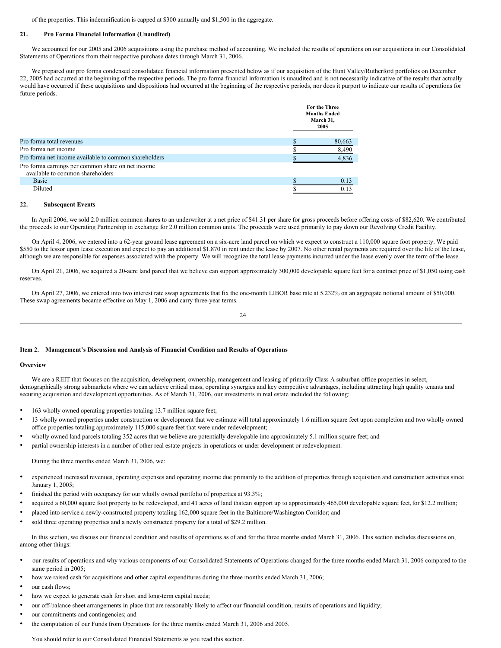of the properties. This indemnification is capped at \$300 annually and \$1,500 in the aggregate.

# **21. Pro Forma Financial Information (Unaudited)**

We accounted for our 2005 and 2006 acquisitions using the purchase method of accounting. We included the results of operations on our acquisitions in our Consolidated Statements of Operations from their respective purchase dates through March 31, 2006.

We prepared our pro forma condensed consolidated financial information presented below as if our acquisition of the Hunt Valley/Rutherford portfolios on December 22, 2005 had occurred at the beginning of the respective periods. The pro forma financial information is unaudited and is not necessarily indicative of the results that actually would have occurred if these acquisitions and dispositions had occurred at the beginning of the respective periods, nor does it purport to indicate our results of operations for future periods.

|                                                                                       | <b>For the Three</b><br><b>Months Ended</b><br>March 31,<br>2005 |
|---------------------------------------------------------------------------------------|------------------------------------------------------------------|
| Pro forma total revenues                                                              | 80,663                                                           |
| Pro forma net income                                                                  | 8,490                                                            |
| Pro forma net income available to common shareholders                                 | 4,836                                                            |
| Pro forma earnings per common share on net income<br>available to common shareholders |                                                                  |
| <b>Basic</b>                                                                          | 0.13                                                             |
| Diluted                                                                               | 0.13                                                             |

#### **22. Subsequent Events**

In April 2006, we sold 2.0 million common shares to an underwriter at a net price of \$41.31 per share for gross proceeds before offering costs of \$82,620. We contributed the proceeds to our Operating Partnership in exchange for 2.0 million common units. The proceeds were used primarily to pay down our Revolving Credit Facility.

On April 4, 2006, we entered into a 62-year ground lease agreement on a six-acre land parcel on which we expect to construct a 110,000 square foot property. We paid \$550 to the lessor upon lease execution and expect to pay an additional \$1,870 in rent under the lease by 2007. No other rental payments are required over the life of the lease, although we are responsible for expenses associated with the property. We will recognize the total lease payments incurred under the lease evenly over the term of the lease.

On April 21, 2006, we acquired a 20-acre land parcel that we believe can support approximately 300,000 developable square feet for a contract price of \$1,050 using cash reserves.

On April 27, 2006, we entered into two interest rate swap agreements that fix the one-month LIBOR base rate at 5.232% on an aggregate notional amount of \$50,000. These swap agreements became effective on May 1, 2006 and carry three-year terms.

<span id="page-14-0"></span>24

#### **Item 2. Management's Discussion and Analysis of Financial Condition and Results of Operations**

#### **Overview**

We are a REIT that focuses on the acquisition, development, ownership, management and leasing of primarily Class A suburban office properties in select, demographically strong submarkets where we can achieve critical mass, operating synergies and key competitive advantages, including attracting high quality tenants and securing acquisition and development opportunities. As of March 31, 2006, our investments in real estate included the following:

- 163 wholly owned operating properties totaling 13.7 million square feet;
- 13 wholly owned properties under construction or development that we estimate will total approximately 1.6 million square feet upon completion and two wholly owned office properties totaling approximately 115,000 square feet that were under redevelopment;
- wholly owned land parcels totaling 352 acres that we believe are potentially developable into approximately 5.1 million square feet; and
- partial ownership interests in a number of other real estate projects in operations or under development or redevelopment.

During the three months ended March 31, 2006, we:

- experienced increased revenues, operating expenses and operating income due primarily to the addition of properties through acquisition and construction activities since January 1, 2005;
- finished the period with occupancy for our wholly owned portfolio of properties at 93.3%;
- acquired a 60,000 square foot property to be redeveloped, and 41 acres of land thatcan support up to approximately 465,000 developable square feet, for \$12.2 million;
- placed into service a newly-constructed property totaling 162,000 square feet in the Baltimore/Washington Corridor; and
- sold three operating properties and a newly constructed property for a total of \$29.2 million.

In this section, we discuss our financial condition and results of operations as of and for the three months ended March 31, 2006. This section includes discussions on, among other things:

- our results of operations and why various components of our Consolidated Statements of Operations changed for the three months ended March 31, 2006 compared to the same period in 2005;
- how we raised cash for acquisitions and other capital expenditures during the three months ended March 31, 2006;
- our cash flows:
- how we expect to generate cash for short and long-term capital needs;
- our off-balance sheet arrangements in place that are reasonably likely to affect our financial condition, results of operations and liquidity;
- our commitments and contingencies; and
- the computation of our Funds from Operations for the three months ended March 31, 2006 and 2005.

You should refer to our Consolidated Financial Statements as you read this section.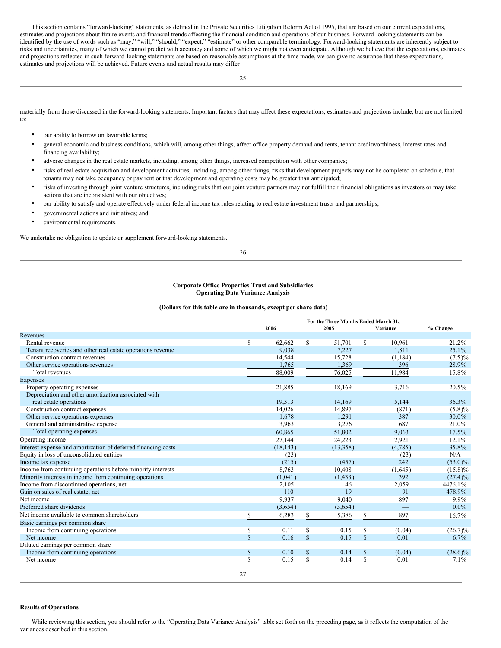This section contains "forward-looking" statements, as defined in the Private Securities Litigation Reform Act of 1995, that are based on our current expectations, estimates and projections about future events and financial trends affecting the financial condition and operations of our business. Forward-looking statements can be identified by the use of words such as "may," "will," "should," "expect," "estimate" or other comparable terminology. Forward-looking statements are inherently subject to risks and uncertainties, many of which we cannot predict with accuracy and some of which we might not even anticipate. Although we believe that the expectations, estimates and projections reflected in such forward-looking statements are based on reasonable assumptions at the time made, we can give no assurance that these expectations, estimates and projections will be achieved. Future events and actual results may differ

materially from those discussed in the forward-looking statements. Important factors that may affect these expectations, estimates and projections include, but are not limited to:

- our ability to borrow on favorable terms;
- general economic and business conditions, which will, among other things, affect office property demand and rents, tenant creditworthiness, interest rates and financing availability;
- adverse changes in the real estate markets, including, among other things, increased competition with other companies;
- risks of real estate acquisition and development activities, including, among other things, risks that development projects may not be completed on schedule, that tenants may not take occupancy or pay rent or that development and operating costs may be greater than anticipated;
- risks of investing through joint venture structures, including risks that our joint venture partners may not fulfill their financial obligations as investors or may take actions that are inconsistent with our objectives;
- our ability to satisfy and operate effectively under federal income tax rules relating to real estate investment trusts and partnerships;
- governmental actions and initiatives; and
- environmental requirements.

We undertake no obligation to update or supplement forward-looking statements.

26

# **Corporate Office Properties Trust and Subsidiaries Operating Data Variance Analysis**

#### **(Dollars for this table are in thousands, except per share data)**

|                                                               |             | For the Three Months Ended March 31, |               |          |              |          |            |  |
|---------------------------------------------------------------|-------------|--------------------------------------|---------------|----------|--------------|----------|------------|--|
|                                                               |             | 2006                                 |               | 2005     |              | Variance | % Change   |  |
| Revenues                                                      |             |                                      |               |          |              |          |            |  |
| Rental revenue                                                | S           | 62,662                               | S.            | 51,701   | \$           | 10,961   | 21.2%      |  |
| Tenant recoveries and other real estate operations revenue    |             | 9.038                                |               | 7,227    |              | 1.811    | $25.1\%$   |  |
| Construction contract revenues                                |             | 14,544                               |               | 15,728   |              | (1, 184) | $(7.5)\%$  |  |
| Other service operations revenues                             |             | 1,765                                |               | 1,369    |              | 396      | 28.9%      |  |
| Total revenues                                                |             | 88,009                               |               | 76,025   |              | 11,984   | 15.8%      |  |
| <b>Expenses</b>                                               |             |                                      |               |          |              |          |            |  |
| Property operating expenses                                   |             | 21,885                               |               | 18,169   |              | 3,716    | 20.5%      |  |
| Depreciation and other amortization associated with           |             |                                      |               |          |              |          |            |  |
| real estate operations                                        |             | 19,313                               |               | 14,169   |              | 5,144    | 36.3%      |  |
| Construction contract expenses                                |             | 14.026                               |               | 14,897   |              | (871)    | $(5.8)\%$  |  |
| Other service operations expenses                             |             | 1,678                                |               | 1,291    |              | 387      | 30.0%      |  |
| General and administrative expense                            |             | 3,963                                |               | 3,276    |              | 687      | 21.0%      |  |
| Total operating expenses                                      |             | 60,865                               |               | 51,802   |              | 9,063    | $17.5\%$   |  |
| Operating income                                              |             | 27,144                               |               | 24,223   |              | 2,921    | $12.1\%$   |  |
| Interest expense and amortization of deferred financing costs |             | (18, 143)                            |               | (13,358) |              | (4,785)  | 35.8%      |  |
| Equity in loss of unconsolidated entities                     |             | (23)                                 |               |          |              | (23)     | N/A        |  |
| Income tax expense                                            |             | (215)                                |               | (457)    |              | 242      | $(53.0)\%$ |  |
| Income from continuing operations before minority interests   |             | 8,763                                |               | 10,408   |              | (1,645)  | $(15.8)\%$ |  |
| Minority interests in income from continuing operations       |             | (1,041)                              |               | (1, 433) |              | 392      | $(27.4)\%$ |  |
| Income from discontinued operations, net                      |             | 2,105                                |               | 46       |              | 2,059    | 4476.1%    |  |
| Gain on sales of real estate, net                             |             | 110                                  |               | 19       |              | 91       | 478.9%     |  |
| Net income                                                    |             | 9.937                                |               | 9,040    |              | 897      | 9.9%       |  |
| Preferred share dividends                                     |             | (3,654)                              |               | (3,654)  |              |          | $0.0\%$    |  |
| Net income available to common shareholders                   | S           | 6,283                                | S.            | 5,386    | $\mathbb{S}$ | 897      | 16.7%      |  |
| Basic earnings per common share                               |             |                                      |               |          |              |          |            |  |
| Income from continuing operations                             | \$          | 0.11                                 | <sup>\$</sup> | 0.15     | S            | (0.04)   | $(26.7)\%$ |  |
| Net income                                                    | $\mathbf S$ | 0.16                                 | $\mathbf S$   | 0.15     | $\mathbb{S}$ | 0.01     | $6.7\%$    |  |
| Diluted earnings per common share                             |             |                                      |               |          |              |          |            |  |
| Income from continuing operations                             | \$          | 0.10                                 | $\mathbb{S}$  | 0.14     | \$           | (0.04)   | $(28.6)\%$ |  |
| Net income                                                    | S           | 0.15                                 | \$            | 0.14     | \$           | 0.01     | $7.1\%$    |  |
|                                                               |             |                                      |               |          |              |          |            |  |
|                                                               | 27          |                                      |               |          |              |          |            |  |

#### **Results of Operations**

While reviewing this section, you should refer to the "Operating Data Variance Analysis" table set forth on the preceding page, as it reflects the computation of the variances described in this section.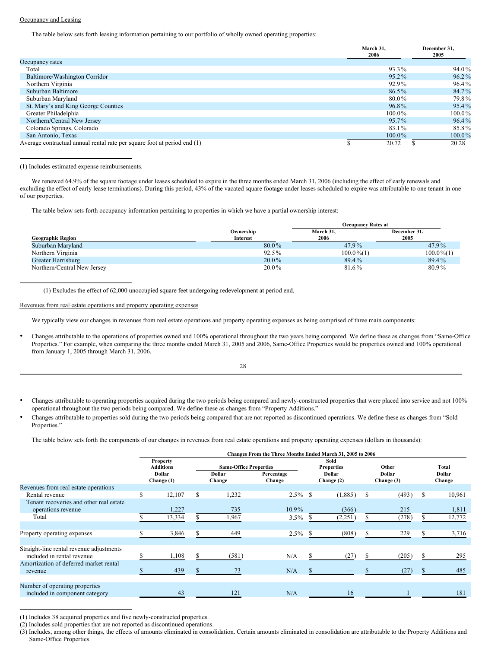## Occupancy and Leasing

The table below sets forth leasing information pertaining to our portfolio of wholly owned operating properties:

|                                                                          | March 31, |           | December 31. |
|--------------------------------------------------------------------------|-----------|-----------|--------------|
|                                                                          | 2006      |           | 2005         |
| Occupancy rates                                                          |           |           |              |
| Total                                                                    |           | 93.3%     | 94.0%        |
| Baltimore/Washington Corridor                                            |           | $95.2\%$  | $96.2\%$     |
| Northern Virginia                                                        |           | 92.9%     | 96.4%        |
| Suburban Baltimore                                                       |           | 86.5%     | 84.7%        |
| Suburban Maryland                                                        |           | 80.0%     | 79.8%        |
| St. Mary's and King George Counties                                      |           | $96.8\%$  | 95.4%        |
| Greater Philadelphia                                                     |           | $100.0\%$ | $100.0\%$    |
| Northern/Central New Jersey                                              |           | $95.7\%$  | $96.4\%$     |
| Colorado Springs, Colorado                                               |           | 83.1%     | 85.8%        |
| San Antonio, Texas                                                       |           | $100.0\%$ | 100.0%       |
| Average contractual annual rental rate per square foot at period end (1) |           | 20.72     | 20.28        |

(1) Includes estimated expense reimbursements.

We renewed 64.9% of the square footage under leases scheduled to expire in the three months ended March 31, 2006 (including the effect of early renewals and excluding the effect of early lease terminations). During this period, 43% of the vacated square footage under leases scheduled to expire was attributable to one tenant in one of our properties.

The table below sets forth occupancy information pertaining to properties in which we have a partial ownership interest:

|                             |                 | <b>Occupancy Rates at</b> |               |  |  |  |
|-----------------------------|-----------------|---------------------------|---------------|--|--|--|
|                             | Ownership       | March 31,                 | December 31,  |  |  |  |
| <b>Geographic Region</b>    | <b>Interest</b> | 2006                      | 2005          |  |  |  |
| Suburban Maryland           | 80.0%           | $47.9\%$                  | $47.9\%$      |  |  |  |
| Northern Virginia           | $92.5\%$        | $100.0\%$ (1)             | $100.0\%$ (1) |  |  |  |
| Greater Harrisburg          | $20.0\%$        | 89.4%                     | 89.4%         |  |  |  |
| Northern/Central New Jersey | 20.0%           | 81.6%                     | 80.9%         |  |  |  |

(1) Excludes the effect of 62,000 unoccupied square feet undergoing redevelopment at period end.

#### Revenues from real estate operations and property operating expenses

We typically view our changes in revenues from real estate operations and property operating expenses as being comprised of three main components:

• Changes attributable to the operations of properties owned and 100% operational throughout the two years being compared. We define these as changes from "Same-Office Properties." For example, when comparing the three months ended March 31, 2005 and 2006, Same-Office Properties would be properties owned and 100% operational from January 1, 2005 through March 31, 2006.

28

- Changes attributable to operating properties acquired during the two periods being compared and newly-constructed properties that were placed into service and not 100% operational throughout the two periods being compared. We define these as changes from "Property Additions."
- Changes attributable to properties sold during the two periods being compared that are not reported as discontinued operations. We define these as changes from "Sold Properties."

The table below sets forth the components of our changes in revenues from real estate operations and property operating expenses (dollars in thousands):

| Total                   |
|-------------------------|
| <b>Dollar</b><br>Change |
|                         |
| 10,961                  |
|                         |
| 1,811                   |
| 12,772                  |
|                         |
| 3,716                   |
|                         |
|                         |
| 295                     |
|                         |
| 485                     |
|                         |
|                         |
| 181                     |
|                         |

<sup>(1)</sup> Includes 38 acquired properties and five newly-constructed properties.

<sup>(2)</sup> Includes sold properties that are not reported as discontinued operations.

<sup>(3)</sup> Includes, among other things, the effects of amounts eliminated in consolidation. Certain amounts eliminated in consolidation are attributable to the Property Additions and Same-Office Properties.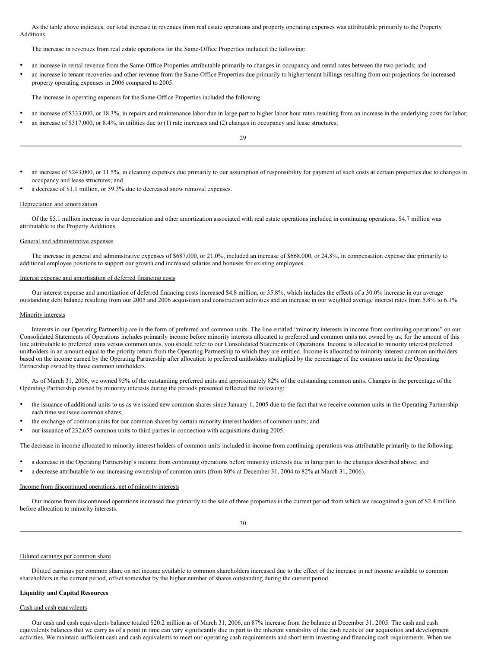As the table above indicates, our total increase in revenues from real estate operations and property operating expenses was attributable primarily to the Property Additions.

The increase in revenues from real estate operations for the Same-Office Properties included the following:

- an increase in rental revenue from the Same-Office Properties attributable primarily to changes in occupancy and rental rates between the two periods; and
- an increase in tenant recoveries and other revenue from the Same-Office Properties due primarily to higher tenant billings resulting from our projections for increased property operating expenses in 2006 compared to 2005.

The increase in operating expenses for the Same-Office Properties included the following:

- an increase of \$333,000, or 18.3%, in repairs and maintenance labor due in large part to higher labor hour rates resulting from an increase in the underlying costs for labor;
- an increase of \$317,000, or 8.4%, in utilities due to (1) rate increases and (2) changes in occupancy and lease structures;

29

- an increase of \$243,000, or 11.5%, in cleaning expenses due primarily to our assumption of responsibility for payment of such costs at certain properties due to changes in occupancy and lease structures; and
- a decrease of \$1.1 million, or 59.3% due to decreased snow removal expenses.

#### Depreciation and amortization

Of the \$5.1 million increase in our depreciation and other amortization associated with real estate operations included in continuing operations, \$4.7 million was attributable to the Property Additions.

#### General and administrative expenses

The increase in general and administrative expenses of \$687,000, or 21.0%, included an increase of \$668,000, or 24.8%, in compensation expense due primarily to additional employee positions to support our growth and increased salaries and bonuses for existing employees.

#### Interest expense and amortization of deferred financing costs

Our interest expense and amortization of deferred financing costs increased \$4.8 million, or 35.8%, which includes the effects of a 30.0% increase in our average outstanding debt balance resulting from our 2005 and 2006 acquisition and construction activities and an increase in our weighted average interest rates from 5.8% to 6.1%.

#### **Minority** interests

Interests in our Operating Partnership are in the form of preferred and common units. The line entitled "minority interests in income from continuing operations" on our Consolidated Statements of Operations includes primarily income before minority interests allocated to preferred and common units not owned by us; for the amount of this line attributable to preferred units versus common units, you should refer to our Consolidated Statements of Operations. Income is allocated to minority interest preferred unitholders in an amount equal to the priority return from the Operating Partnership to which they are entitled. Income is allocated to minority interest common unitholders based on the income earned by the Operating Partnership after allocation to preferred unitholders multiplied by the percentage of the common units in the Operating Partnership owned by those common unitholders.

As of March 31, 2006, we owned 95% of the outstanding preferred units and approximately 82% of the outstanding common units. Changes in the percentage of the Operating Partnership owned by minority interests during the periods presented reflected the following:

- the issuance of additional units to us as we issued new common shares since January 1, 2005 due to the fact that we receive common units in the Operating Partnership each time we issue common shares;
- the exchange of common units for our common shares by certain minority interest holders of common units; and
- our issuance of 232,655 common units to third parties in connection with acquisitions during 2005.

The decrease in income allocated to minority interest holders of common units included in income from continuing operations was attributable primarily to the following:

- a decrease in the Operating Partnership's income from continuing operations before minority interests due in large part to the changes described above; and
- a decrease attributable to our increasing ownership of common units (from 80% at December 31, 2004 to 82% at March 31, 2006).

# Income from discontinued operations, net of minority interests

Our income from discontinued operations increased due primarily to the sale of three properties in the current period from which we recognized a gain of \$2.4 million before allocation to minority interests.

#### Diluted earnings per common share

Diluted earnings per common share on net income available to common shareholders increased due to the effect of the increase in net income available to common shareholders in the current period, offset somewhat by the higher number of shares outstanding during the current period.

#### **Liquidity and Capital Resources**

#### Cash and cash equivalents

Our cash and cash equivalents balance totaled \$20.2 million as of March 31, 2006, an 87% increase from the balance at December 31, 2005. The cash and cash equivalents balances that we carry as of a point in time can vary significantly due in part to the inherent variability of the cash needs of our acquisition and development activities. We maintain sufficient cash and cash equivalents to meet our operating cash requirements and short term investing and financing cash requirements. When we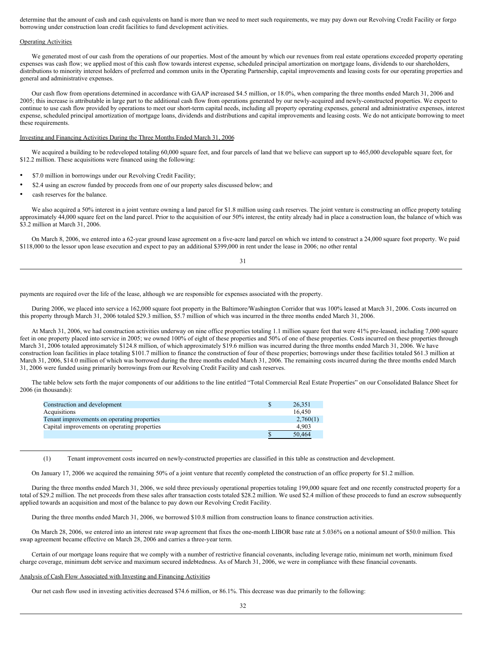determine that the amount of cash and cash equivalents on hand is more than we need to meet such requirements, we may pay down our Revolving Credit Facility or forgo borrowing under construction loan credit facilities to fund development activities.

#### Operating Activities

We generated most of our cash from the operations of our properties. Most of the amount by which our revenues from real estate operations exceeded property operating expenses was cash flow; we applied most of this cash flow towards interest expense, scheduled principal amortization on mortgage loans, dividends to our shareholders, distributions to minority interest holders of preferred and common units in the Operating Partnership, capital improvements and leasing costs for our operating properties and general and administrative expenses.

Our cash flow from operations determined in accordance with GAAP increased \$4.5 million, or 18.0%, when comparing the three months ended March 31, 2006 and 2005; this increase is attributable in large part to the additional cash flow from operations generated by our newly-acquired and newly-constructed properties. We expect to continue to use cash flow provided by operations to meet our short-term capital needs, including all property operating expenses, general and administrative expenses, interest expense, scheduled principal amortization of mortgage loans, dividends and distributions and capital improvements and leasing costs. We do not anticipate borrowing to meet these requirements.

#### Investing and Financing Activities During the Three Months Ended March 31, 2006

We acquired a building to be redeveloped totaling 60,000 square feet, and four parcels of land that we believe can support up to 465,000 developable square feet, for \$12.2 million. These acquisitions were financed using the following:

- \$7.0 million in borrowings under our Revolving Credit Facility;
- \$2.4 using an escrow funded by proceeds from one of our property sales discussed below; and
- cash reserves for the balance.

We also acquired a 50% interest in a joint venture owning a land parcel for \$1.8 million using cash reserves. The joint venture is constructing an office property totaling approximately 44,000 square feet on the land parcel. Prior to the acquisition of our 50% interest, the entity already had in place a construction loan, the balance of which was \$3.2 million at March 31, 2006.

On March 8, 2006, we entered into a 62-year ground lease agreement on a five-acre land parcel on which we intend to construct a 24,000 square foot property. We paid \$118,000 to the lessor upon lease execution and expect to pay an additional \$399,000 in rent under the lease in 2006; no other rental

| I<br>I<br>$\sim$ |  |
|------------------|--|

payments are required over the life of the lease, although we are responsible for expenses associated with the property.

During 2006, we placed into service a 162,000 square foot property in the Baltimore/Washington Corridor that was 100% leased at March 31, 2006. Costs incurred on this property through March 31, 2006 totaled \$29.3 million, \$5.7 million of which was incurred in the three months ended March 31, 2006.

At March 31, 2006, we had construction activities underway on nine office properties totaling 1.1 million square feet that were 41% pre-leased, including 7,000 square feet in one property placed into service in 2005; we owned 100% of eight of these properties and 50% of one of these properties. Costs incurred on these properties through March 31, 2006 totaled approximately \$124.8 million, of which approximately \$19.6 million was incurred during the three months ended March 31, 2006. We have construction loan facilities in place totaling \$101.7 million to finance the construction of four of these properties; borrowings under these facilities totaled \$61.3 million at March 31, 2006, \$14.0 million of which was borrowed during the three months ended March 31, 2006. The remaining costs incurred during the three months ended March 31, 2006 were funded using primarily borrowings from our Revolving Credit Facility and cash reserves.

The table below sets forth the major components of our additions to the line entitled "Total Commercial Real Estate Properties" on our Consolidated Balance Sheet for 2006 (in thousands):

| Construction and development                 | 26.351   |
|----------------------------------------------|----------|
| Acquisitions                                 | 16.450   |
| Tenant improvements on operating properties  | 2,760(1) |
| Capital improvements on operating properties | 4.903    |
|                                              | 50,464   |

(1) Tenant improvement costs incurred on newly-constructed properties are classified in this table as construction and development.

On January 17, 2006 we acquired the remaining 50% of a joint venture that recently completed the construction of an office property for \$1.2 million.

During the three months ended March 31, 2006, we sold three previously operational properties totaling 199,000 square feet and one recently constructed property for a total of \$29.2 million. The net proceeds from these sales after transaction costs totaled \$28.2 million. We used \$2.4 million of these proceeds to fund an escrow subsequently applied towards an acquisition and most of the balance to pay down our Revolving Credit Facility.

During the three months ended March 31, 2006, we borrowed \$10.8 million from construction loans to finance construction activities.

On March 28, 2006, we entered into an interest rate swap agreement that fixes the one-month LIBOR base rate at 5.036% on a notional amount of \$50.0 million. This swap agreement became effective on March 28, 2006 and carries a three-year term.

Certain of our mortgage loans require that we comply with a number of restrictive financial covenants, including leverage ratio, minimum net worth, minimum fixed charge coverage, minimum debt service and maximum secured indebtedness. As of March 31, 2006, we were in compliance with these financial covenants.

#### Analysis of Cash Flow Associated with Investing and Financing Activities

Our net cash flow used in investing activities decreased \$74.6 million, or 86.1%. This decrease was due primarily to the following: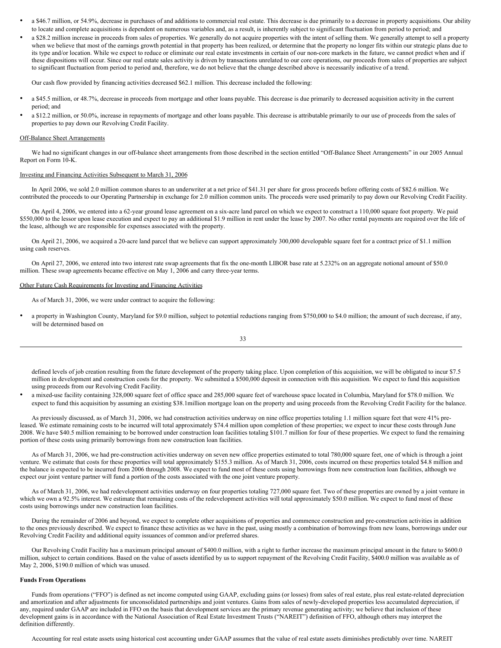- a \$46.7 million, or 54.9%, decrease in purchases of and additions to commercial real estate. This decrease is due primarily to a decrease in property acquisitions. Our ability to locate and complete acquisitions is dependent on numerous variables and, as a result, is inherently subject to significant fluctuation from period to period; and
- a \$28.2 million increase in proceeds from sales of properties. We generally do not acquire properties with the intent of selling them. We generally attempt to sell a property when we believe that most of the earnings growth potential in that property has been realized, or determine that the property no longer fits within our strategic plans due to its type and/or location. While we expect to reduce or eliminate our real estate investments in certain of our non-core markets in the future, we cannot predict when and if these dispositions will occur. Since our real estate sales activity is driven by transactions unrelated to our core operations, our proceeds from sales of properties are subject to significant fluctuation from period to period and, therefore, we do not believe that the change described above is necessarily indicative of a trend.

Our cash flow provided by financing activities decreased \$62.1 million. This decrease included the following:

- a \$45.5 million, or 48.7%, decrease in proceeds from mortgage and other loans payable. This decrease is due primarily to decreased acquisition activity in the current period; and
- a \$12.2 million, or 50.0%, increase in repayments of mortgage and other loans payable. This decrease is attributable primarily to our use of proceeds from the sales of properties to pay down our Revolving Credit Facility.

#### Off-Balance Sheet Arrangements

We had no significant changes in our off-balance sheet arrangements from those described in the section entitled "Off-Balance Sheet Arrangements" in our 2005 Annual Report on Form 10-K.

#### Investing and Financing Activities Subsequent to March 31, 2006

In April 2006, we sold 2.0 million common shares to an underwriter at a net price of \$41.31 per share for gross proceeds before offering costs of \$82.6 million. We contributed the proceeds to our Operating Partnership in exchange for 2.0 million common units. The proceeds were used primarily to pay down our Revolving Credit Facility.

On April 4, 2006, we entered into a 62-year ground lease agreement on a six-acre land parcel on which we expect to construct a 110,000 square foot property. We paid \$550,000 to the lessor upon lease execution and expect to pay an additional \$1.9 million in rent under the lease by 2007. No other rental payments are required over the life of the lease, although we are responsible for expenses associated with the property.

On April 21, 2006, we acquired a 20-acre land parcel that we believe can support approximately 300,000 developable square feet for a contract price of \$1.1 million using cash reserves.

On April 27, 2006, we entered into two interest rate swap agreements that fix the one-month LIBOR base rate at 5.232% on an aggregate notional amount of \$50.0 million. These swap agreements became effective on May 1, 2006 and carry three-year terms.

# Other Future Cash Requirements for Investing and Financing Activities

As of March 31, 2006, we were under contract to acquire the following:

• a property in Washington County, Maryland for \$9.0 million, subject to potential reductions ranging from \$750,000 to \$4.0 million; the amount of such decrease, if any, will be determined based on

33

defined levels of job creation resulting from the future development of the property taking place. Upon completion of this acquisition, we will be obligated to incur \$7.5 million in development and construction costs for the property. We submitted a \$500,000 deposit in connection with this acquisition. We expect to fund this acquisition using proceeds from our Revolving Credit Facility.

• a mixed-use facility containing 328,000 square feet of office space and 285,000 square feet of warehouse space located in Columbia, Maryland for \$78.0 million. We expect to fund this acquisition by assuming an existing \$38.1million mortgage loan on the property and using proceeds from the Revolving Credit Facility for the balance.

As previously discussed, as of March 31, 2006, we had construction activities underway on nine office properties totaling 1.1 million square feet that were 41% preleased. We estimate remaining costs to be incurred will total approximately \$74.4 million upon completion of these properties; we expect to incur these costs through June 2008. We have \$40.5 million remaining to be borrowed under construction loan facilities totaling \$101.7 million for four of these properties. We expect to fund the remaining portion of these costs using primarily borrowings from new construction loan facilities.

As of March 31, 2006, we had pre-construction activities underway on seven new office properties estimated to total 780,000 square feet, one of which is through a joint venture. We estimate that costs for these properties will total approximately \$155.3 million. As of March 31, 2006, costs incurred on these properties totaled \$4.8 million and the balance is expected to be incurred from 2006 through 2008. We expect to fund most of these costs using borrowings from new construction loan facilities, although we expect our joint venture partner will fund a portion of the costs associated with the one joint venture property.

As of March 31, 2006, we had redevelopment activities underway on four properties totaling 727,000 square feet. Two of these properties are owned by a joint venture in which we own a 92.5% interest. We estimate that remaining costs of the redevelopment activities will total approximately \$50.0 million. We expect to fund most of these costs using borrowings under new construction loan facilities.

During the remainder of 2006 and beyond, we expect to complete other acquisitions of properties and commence construction and pre-construction activities in addition to the ones previously described. We expect to finance these activities as we have in the past, using mostly a combination of borrowings from new loans, borrowings under our Revolving Credit Facility and additional equity issuances of common and/or preferred shares.

Our Revolving Credit Facility has a maximum principal amount of \$400.0 million, with a right to further increase the maximum principal amount in the future to \$600.0 million, subject to certain conditions. Based on the value of assets identified by us to support repayment of the Revolving Credit Facility, \$400.0 million was available as of May 2, 2006, \$190.0 million of which was unused.

# **Funds From Operations**

Funds from operations ("FFO") is defined as net income computed using GAAP, excluding gains (or losses) from sales of real estate, plus real estate-related depreciation and amortization and after adjustments for unconsolidated partnerships and joint ventures. Gains from sales of newly-developed properties less accumulated depreciation, if any, required under GAAP are included in FFO on the basis that development services are the primary revenue generating activity; we believe that inclusion of these development gains is in accordance with the National Association of Real Estate Investment Trusts ("NAREIT") definition of FFO, although others may interpret the definition differently.

Accounting for real estate assets using historical cost accounting under GAAP assumes that the value of real estate assets diminishes predictably over time. NAREIT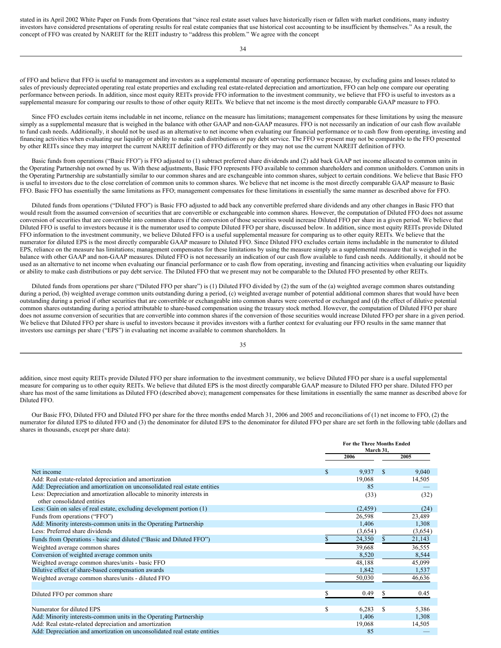stated in its April 2002 White Paper on Funds from Operations that "since real estate asset values have historically risen or fallen with market conditions, many industry investors have considered presentations of operating results for real estate companies that use historical cost accounting to be insufficient by themselves." As a result, the concept of FFO was created by NAREIT for the REIT industry to "address this problem." We agree with the concept

34

of FFO and believe that FFO is useful to management and investors as a supplemental measure of operating performance because, by excluding gains and losses related to sales of previously depreciated operating real estate properties and excluding real estate-related depreciation and amortization, FFO can help one compare our operating performance between periods. In addition, since most equity REITs provide FFO information to the investment community, we believe that FFO is useful to investors as a supplemental measure for comparing our results to those of other equity REITs. We believe that net income is the most directly comparable GAAP measure to FFO.

Since FFO excludes certain items includable in net income, reliance on the measure has limitations; management compensates for these limitations by using the measure simply as a supplemental measure that is weighed in the balance with other GAAP and non-GAAP measures. FFO is not necessarily an indication of our cash flow available to fund cash needs. Additionally, it should not be used as an alternative to net income when evaluating our financial performance or to cash flow from operating, investing and financing activities when evaluating our liquidity or ability to make cash distributions or pay debt service. The FFO we present may not be comparable to the FFO presented by other REITs since they may interpret the current NAREIT definition of FFO differently or they may not use the current NAREIT definition of FFO.

Basic funds from operations ("Basic FFO") is FFO adjusted to (1) subtract preferred share dividends and (2) add back GAAP net income allocated to common units in the Operating Partnership not owned by us. With these adjustments, Basic FFO represents FFO available to common shareholders and common unitholders. Common units in the Operating Partnership are substantially similar to our common shares and are exchangeable into common shares, subject to certain conditions. We believe that Basic FFO is useful to investors due to the close correlation of common units to common shares. We believe that net income is the most directly comparable GAAP measure to Basic FFO. Basic FFO has essentially the same limitations as FFO; management compensates for these limitations in essentially the same manner as described above for FFO.

Diluted funds from operations ("Diluted FFO") is Basic FFO adjusted to add back any convertible preferred share dividends and any other changes in Basic FFO that would result from the assumed conversion of securities that are convertible or exchangeable into common shares. However, the computation of Diluted FFO does not assume conversion of securities that are convertible into common shares if the conversion of those securities would increase Diluted FFO per share in a given period. We believe that Diluted FFO is useful to investors because it is the numerator used to compute Diluted FFO per share, discussed below. In addition, since most equity REITs provide Diluted FFO information to the investment community, we believe Diluted FFO is a useful supplemental measure for comparing us to other equity REITs. We believe that the numerator for diluted EPS is the most directly comparable GAAP measure to Diluted FFO. Since Diluted FFO excludes certain items includable in the numerator to diluted EPS, reliance on the measure has limitations; management compensates for these limitations by using the measure simply as a supplemental measure that is weighed in the balance with other GAAP and non-GAAP measures. Diluted FFO is not necessarily an indication of our cash flow available to fund cash needs. Additionally, it should not be used as an alternative to net income when evaluating our financial performance or to cash flow from operating, investing and financing activities when evaluating our liquidity or ability to make cash distributions or pay debt service. The Diluted FFO that we present may not be comparable to the Diluted FFO presented by other REITs.

Diluted funds from operations per share ("Diluted FFO per share") is (1) Diluted FFO divided by (2) the sum of the (a) weighted average common shares outstanding during a period, (b) weighted average common units outstanding during a period, (c) weighted average number of potential additional common shares that would have been outstanding during a period if other securities that are convertible or exchangeable into common shares were converted or exchanged and (d) the effect of dilutive potential common shares outstanding during a period attributable to share-based compensation using the treasury stock method. However, the computation of Diluted FFO per share does not assume conversion of securities that are convertible into common shares if the conversion of those securities would increase Diluted FFO per share in a given period. We believe that Diluted FFO per share is useful to investors because it provides investors with a further context for evaluating our FFO results in the same manner that investors use earnings per share ("EPS") in evaluating net income available to common shareholders. In

35

addition, since most equity REITs provide Diluted FFO per share information to the investment community, we believe Diluted FFO per share is a useful supplemental measure for comparing us to other equity REITs. We believe that diluted EPS is the most directly comparable GAAP measure to Diluted FFO per share. Diluted FFO per share has most of the same limitations as Diluted FFO (described above); management compensates for these limitations in essentially the same manner as described above for Diluted FFO.

Our Basic FFO, Diluted FFO and Diluted FFO per share for the three months ended March 31, 2006 and 2005 and reconciliations of (1) net income to FFO, (2) the numerator for diluted EPS to diluted FFO and (3) the denominator for diluted EPS to the denominator for diluted FFO per share are set forth in the following table (dollars and shares in thousands, except per share data):

|                                                                                                       |      | <b>For the Three Months Ended</b><br>March 31, |         |  |  |
|-------------------------------------------------------------------------------------------------------|------|------------------------------------------------|---------|--|--|
|                                                                                                       | 2006 |                                                | 2005    |  |  |
| Net income                                                                                            | S    | 9,937<br><sup>S</sup>                          | 9,040   |  |  |
| Add: Real estate-related depreciation and amortization                                                |      | 19,068                                         | 14,505  |  |  |
| Add: Depreciation and amortization on unconsolidated real estate entities                             |      | 85                                             |         |  |  |
| Less: Depreciation and amortization allocable to minority interests in<br>other consolidated entities |      | (33)                                           | (32)    |  |  |
| Less: Gain on sales of real estate, excluding development portion (1)                                 |      | (2, 459)                                       | (24)    |  |  |
| Funds from operations ("FFO")                                                                         |      | 26,598                                         | 23,489  |  |  |
| Add: Minority interests-common units in the Operating Partnership                                     |      | 1,406                                          | 1,308   |  |  |
| Less: Preferred share dividends                                                                       |      | (3,654)                                        | (3,654) |  |  |
| Funds from Operations - basic and diluted ("Basic and Diluted FFO")                                   |      | 24,350<br>S                                    | 21,143  |  |  |
| Weighted average common shares                                                                        |      | 39,668                                         | 36,555  |  |  |
| Conversion of weighted average common units                                                           |      | 8,520                                          | 8,544   |  |  |
| Weighted average common shares/units - basic FFO                                                      |      | 48,188                                         | 45,099  |  |  |
| Dilutive effect of share-based compensation awards                                                    |      | 1,842                                          | 1,537   |  |  |
| Weighted average common shares/units - diluted FFO                                                    |      | 50,030                                         | 46,636  |  |  |
| Diluted FFO per common share                                                                          |      | S<br>0.49                                      | 0.45    |  |  |
|                                                                                                       |      |                                                |         |  |  |
| Numerator for diluted EPS                                                                             | S    | \$<br>6,283                                    | 5,386   |  |  |
| Add: Minority interests-common units in the Operating Partnership                                     |      | 1,406                                          | 1,308   |  |  |
| Add: Real estate-related depreciation and amortization                                                |      | 19,068                                         | 14,505  |  |  |
| Add: Depreciation and amortization on unconsolidated real estate entities                             |      | 85                                             |         |  |  |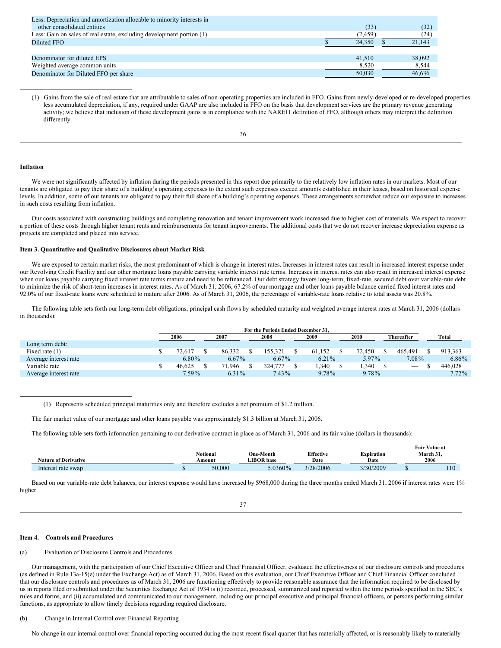| Less: Depreciation and amortization allocable to minority interests in |         |        |
|------------------------------------------------------------------------|---------|--------|
| other consolidated entities                                            | (33)    | (32)   |
| Less: Gain on sales of real estate, excluding development portion (1)  | (2,459) | (24)   |
| Diluted FFO                                                            | 24,350  | 21,143 |
|                                                                        |         |        |
| Denominator for diluted EPS                                            | 41.510  | 38,092 |
| Weighted average common units                                          | 8,520   | 8,544  |
| Denominator for Diluted FFO per share                                  | 50,030  | 46,636 |
|                                                                        |         |        |

<sup>(1)</sup> Gains from the sale of real estate that are attributable to sales of non-operating properties are included in FFO. Gains from newly-developed or re-developed properties less accumulated depreciation, if any, required under GAAP are also included in FFO on the basis that development services are the primary revenue generating activity; we believe that inclusion of these development gains is in compliance with the NAREIT definition of FFO, although others may interpret the definition differently.

<span id="page-21-0"></span>

|                   | ٠                |
|-------------------|------------------|
| ۰,<br>I<br>$\sim$ | i<br>I<br>×<br>٧ |

#### **Inflation**

We were not significantly affected by inflation during the periods presented in this report due primarily to the relatively low inflation rates in our markets. Most of our tenants are obligated to pay their share of a building's operating expenses to the extent such expenses exceed amounts established in their leases, based on historical expense levels. In addition, some of our tenants are obligated to pay their full share of a building's operating expenses. These arrangements somewhat reduce our exposure to increases in such costs resulting from inflation.

Our costs associated with constructing buildings and completing renovation and tenant improvement work increased due to higher cost of materials. We expect to recover a portion of these costs through higher tenant rents and reimbursements for tenant improvements. The additional costs that we do not recover increase depreciation expense as projects are completed and placed into service.

#### **Item 3. Quantitative and Qualitative Disclosures about Market Risk**

We are exposed to certain market risks, the most predominant of which is change in interest rates. Increases in interest rates can result in increased interest expense under our Revolving Credit Facility and our other mortgage loans payable carrying variable interest rate terms. Increases in interest rates can also result in increased interest expense when our loans payable carrying fixed interest rate terms mature and need to be refinanced. Our debt strategy favors long-term, fixed-rate, secured debt over variable-rate debt to minimize the risk of short-term increases in interest rates. As of March 31, 2006, 67.2% of our mortgage and other loans payable balance carried fixed interest rates and 92.0% of our fixed-rate loans were scheduled to mature after 2006. As of March 31, 2006, the percentage of variable-rate loans relative to total assets was 20.8%.

The following table sets forth our long-term debt obligations, principal cash flows by scheduled maturity and weighted average interest rates at March 31, 2006 (dollars in thousands):

|                       |          |          | For the Periods Ended December 31. |          |        |                                 |          |
|-----------------------|----------|----------|------------------------------------|----------|--------|---------------------------------|----------|
|                       | 2006     | 2007     | 2008                               | 2009     | 2010   | <b>Thereafter</b>               | Total    |
| Long term debt:       |          |          |                                    |          |        |                                 |          |
| Fixed rate $(1)$      | 72.617   | 86.332   | 155.321                            | 61.152   | 72,450 | 465.491                         | 913.363  |
| Average interest rate | $6.80\%$ | $6.67\%$ | $6.67\%$                           | $6.21\%$ | 5.97%  | $7.08\%$                        | $6.86\%$ |
| Variable rate         | 46.625   | 71.946   | 324,777                            | .340     | . .340 | $\hspace{0.1mm}-\hspace{0.1mm}$ | 446.028  |
| Average interest rate | $7.59\%$ | 6.31%    | $7.43\%$                           | 9.78%    | 9.78%  | $-$                             | $7.72\%$ |

(1) Represents scheduled principal maturities only and therefore excludes a net premium of \$1.2 million.

The fair market value of our mortgage and other loans payable was approximately \$1.3 billion at March 31, 2006.

The following table sets forth information pertaining to our derivative contract in place as of March 31, 2006 and its fair value (dollars in thousands):

|                             |                              |                 |                   |           |          | <b>Fair Value at</b> |  |
|-----------------------------|------------------------------|-----------------|-------------------|-----------|----------|----------------------|--|
|                             | <b>One-Month</b><br>Notional |                 | Effective         | xpiration | March 31 |                      |  |
| <b>Nature of Derivative</b> | Amount                       | <b>BOR</b> base | Date              | Date      |          | 2006                 |  |
| Interest rate swap          | 50,000                       | $5.0360\%$      | $'$ /2006<br>2/20 | 3/30/2009 |          |                      |  |

Based on our variable-rate debt balances, our interest expense would have increased by \$968,000 during the three months ended March 31, 2006 if interest rates were 1% higher.

| I<br>I<br>×<br>۰. |  |
|-------------------|--|

#### <span id="page-21-1"></span>**Item 4. Controls and Procedures**

# (a) Evaluation of Disclosure Controls and Procedures

Our management, with the participation of our Chief Executive Officer and Chief Financial Officer, evaluated the effectiveness of our disclosure controls and procedures (as defined in Rule 13a-15(e) under the Exchange Act) as of March 31, 2006. Based on this evaluation, our Chief Executive Officer and Chief Financial Officer concluded that our disclosure controls and procedures as of March 31, 2006 are functioning effectively to provide reasonable assurance that the information required to be disclosed by us in reports filed or submitted under the Securities Exchange Act of 1934 is (i) recorded, processed, summarized and reported within the time periods specified in the SEC's rules and forms, and (ii) accumulated and communicated to our management, including our principal executive and principal financial officers, or persons performing similar functions, as appropriate to allow timely decisions regarding required disclosure.

#### (b) Change in Internal Control over Financial Reporting

No change in our internal control over financial reporting occurred during the most recent fiscal quarter that has materially affected, or is reasonably likely to materially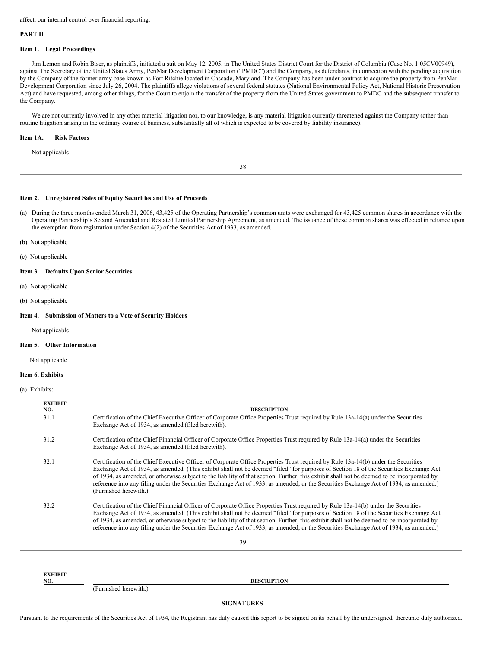affect, our internal control over financial reporting.

# <span id="page-22-0"></span>**PART II**

#### <span id="page-22-1"></span>**Item 1. Legal Proceedings**

Jim Lemon and Robin Biser, as plaintiffs, initiated a suit on May 12, 2005, in The United States District Court for the District of Columbia (Case No. 1:05CV00949), against The Secretary of the United States Army, PenMar Development Corporation ("PMDC") and the Company, as defendants, in connection with the pending acquisition by the Company of the former army base known as Fort Ritchie located in Cascade, Maryland. The Company has been under contract to acquire the property from PenMar Development Corporation since July 26, 2004. The plaintiffs allege violations of several federal statutes (National Environmental Policy Act, National Historic Preservation Act) and have requested, among other things, for the Court to enjoin the transfer of the property from the United States government to PMDC and the subsequent transfer to the Company.

We are not currently involved in any other material litigation nor, to our knowledge, is any material litigation currently threatened against the Company (other than routine litigation arising in the ordinary course of business, substantially all of which is expected to be covered by liability insurance).

#### **Item 1A. Risk Factors**

<span id="page-22-2"></span>Not applicable

<span id="page-22-3"></span>38

#### **Item 2. Unregistered Sales of Equity Securities and Use of Proceeds**

(a) During the three months ended March 31, 2006, 43,425 of the Operating Partnership's common units were exchanged for 43,425 common shares in accordance with the Operating Partnership's Second Amended and Restated Limited Partnership Agreement, as amended. The issuance of these common shares was effected in reliance upon the exemption from registration under Section 4(2) of the Securities Act of 1933, as amended.

(b) Not applicable

(c) Not applicable

#### <span id="page-22-4"></span>**Item 3. Defaults Upon Senior Securities**

- (a) Not applicable
- (b) Not applicable

#### **Item 4. Submission of Matters to a Vote of Security Holders**

<span id="page-22-6"></span><span id="page-22-5"></span>Not applicable

#### **Item 5. Other Information**

Not applicable

#### **Item 6. Exhibits**

# (a) Exhibits:

<span id="page-22-7"></span>

| <b>EXHIBIT</b><br>NO. | <b>DESCRIPTION</b>                                                                                                                                                                                                                                                                                                                                                                                                                                                                                                                                                                          |
|-----------------------|---------------------------------------------------------------------------------------------------------------------------------------------------------------------------------------------------------------------------------------------------------------------------------------------------------------------------------------------------------------------------------------------------------------------------------------------------------------------------------------------------------------------------------------------------------------------------------------------|
| 31.1                  | Certification of the Chief Executive Officer of Corporate Office Properties Trust required by Rule 13a-14(a) under the Securities<br>Exchange Act of 1934, as amended (filed herewith).                                                                                                                                                                                                                                                                                                                                                                                                     |
| 31.2                  | Certification of the Chief Financial Officer of Corporate Office Properties Trust required by Rule 13a-14(a) under the Securities<br>Exchange Act of 1934, as amended (filed herewith).                                                                                                                                                                                                                                                                                                                                                                                                     |
| 32.1                  | Certification of the Chief Executive Officer of Corporate Office Properties Trust required by Rule 13a-14(b) under the Securities<br>Exchange Act of 1934, as amended. (This exhibit shall not be deemed "filed" for purposes of Section 18 of the Securities Exchange Act<br>of 1934, as amended, or otherwise subject to the liability of that section. Further, this exhibit shall not be deemed to be incorporated by<br>reference into any filing under the Securities Exchange Act of 1933, as amended, or the Securities Exchange Act of 1934, as amended.)<br>(Furnished herewith.) |
| 32.2                  | Certification of the Chief Financial Officer of Corporate Office Properties Trust required by Rule 13a-14(b) under the Securities<br>Exchange Act of 1934, as amended. (This exhibit shall not be deemed "filed" for purposes of Section 18 of the Securities Exchange Act<br>of 1934, as amended, or otherwise subject to the liability of that section. Further, this exhibit shall not be deemed to be incorporated by<br>reference into any filing under the Securities Exchange Act of 1933, as amended, or the Securities Exchange Act of 1934, as amended.)<br>39                    |
|                       |                                                                                                                                                                                                                                                                                                                                                                                                                                                                                                                                                                                             |

| KHIBIT |                       |                  |  |  |
|--------|-----------------------|------------------|--|--|
| NO.    |                       | TION<br>DF<br>жі |  |  |
|        | (Furnished herewith.) |                  |  |  |

<span id="page-22-8"></span>**SIGNATURES**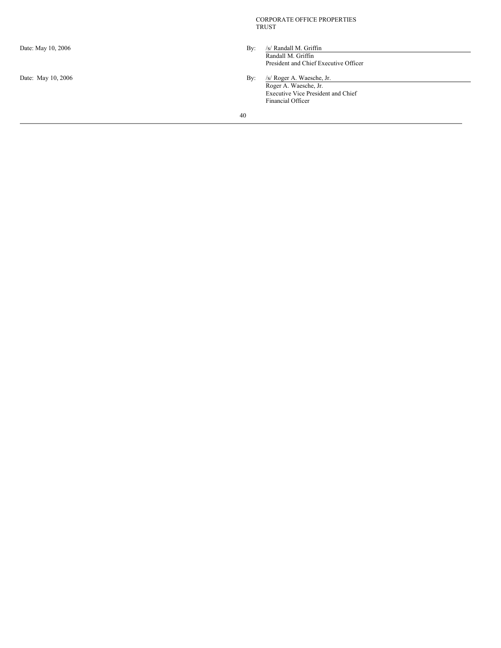|                    |     | <b>TRUST</b>                                                                                                         |
|--------------------|-----|----------------------------------------------------------------------------------------------------------------------|
| Date: May 10, 2006 | By: | /s/ Randall M. Griffin<br>Randall M. Griffin<br>President and Chief Executive Officer                                |
| Date: May 10, 2006 | By: | /s/ Roger A. Waesche, Jr.<br>Roger A. Waesche, Jr.<br>Executive Vice President and Chief<br><b>Financial Officer</b> |
|                    | 40  |                                                                                                                      |
|                    |     |                                                                                                                      |

CORPORATE OFFICE PROPERTIES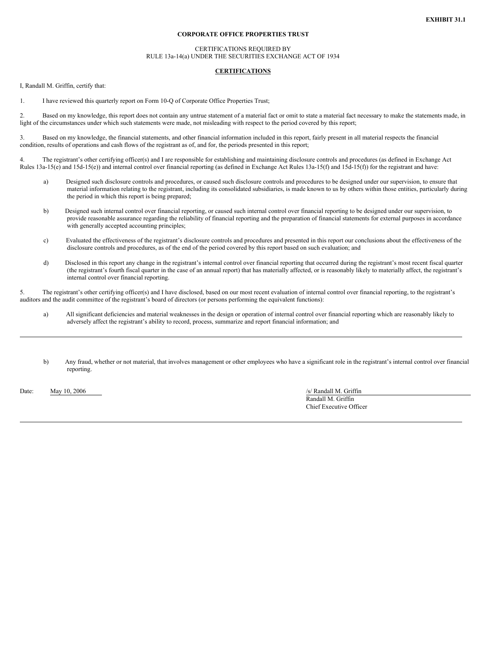# CERTIFICATIONS REQUIRED BY RULE 13a-14(a) UNDER THE SECURITIES EXCHANGE ACT OF 1934

#### **CERTIFICATIONS**

I, Randall M. Griffin, certify that:

1. I have reviewed this quarterly report on Form 10-Q of Corporate Office Properties Trust;

2. Based on my knowledge, this report does not contain any untrue statement of a material fact or omit to state a material fact necessary to make the statements made, in light of the circumstances under which such statements were made, not misleading with respect to the period covered by this report;

3. Based on my knowledge, the financial statements, and other financial information included in this report, fairly present in all material respects the financial condition, results of operations and cash flows of the registrant as of, and for, the periods presented in this report;

4. The registrant's other certifying officer(s) and I are responsible for establishing and maintaining disclosure controls and procedures (as defined in Exchange Act Rules 13a-15(e) and 15d-15(e)) and internal control over financial reporting (as defined in Exchange Act Rules 13a-15(f) and 15d-15(f)) for the registrant and have:

- a) Designed such disclosure controls and procedures, or caused such disclosure controls and procedures to be designed under our supervision, to ensure that material information relating to the registrant, including its consolidated subsidiaries, is made known to us by others within those entities, particularly during the period in which this report is being prepared;
- b) Designed such internal control over financial reporting, or caused such internal control over financial reporting to be designed under our supervision, to provide reasonable assurance regarding the reliability of financial reporting and the preparation of financial statements for external purposes in accordance with generally accepted accounting principles;
- c) Evaluated the effectiveness of the registrant's disclosure controls and procedures and presented in this report our conclusions about the effectiveness of the disclosure controls and procedures, as of the end of the period covered by this report based on such evaluation; and
- d) Disclosed in this report any change in the registrant's internal control over financial reporting that occurred during the registrant's most recent fiscal quarter (the registrant's fourth fiscal quarter in the case of an annual report) that has materially affected, or is reasonably likely to materially affect, the registrant's internal control over financial reporting.

5. The registrant's other certifying officer(s) and I have disclosed, based on our most recent evaluation of internal control over financial reporting, to the registrant's auditors and the audit committee of the registrant's board of directors (or persons performing the equivalent functions):

- a) All significant deficiencies and material weaknesses in the design or operation of internal control over financial reporting which are reasonably likely to adversely affect the registrant's ability to record, process, summarize and report financial information; and
- b) Any fraud, whether or not material, that involves management or other employees who have a significant role in the registrant's internal control over financial reporting.

Date: May 10, 2006 */s/ Randall M. Griffin* 

Randall M. Griffin Chief Executive Officer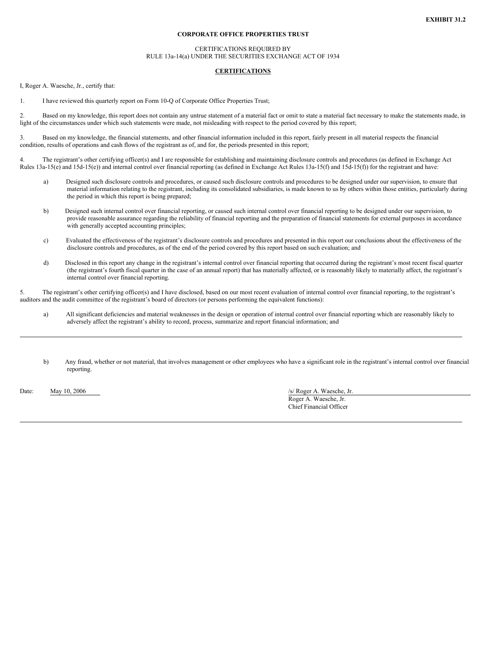# CERTIFICATIONS REQUIRED BY RULE 13a-14(a) UNDER THE SECURITIES EXCHANGE ACT OF 1934

#### **CERTIFICATIONS**

I, Roger A. Waesche, Jr., certify that:

1. I have reviewed this quarterly report on Form 10-Q of Corporate Office Properties Trust;

2. Based on my knowledge, this report does not contain any untrue statement of a material fact or omit to state a material fact necessary to make the statements made, in light of the circumstances under which such statements were made, not misleading with respect to the period covered by this report;

3. Based on my knowledge, the financial statements, and other financial information included in this report, fairly present in all material respects the financial condition, results of operations and cash flows of the registrant as of, and for, the periods presented in this report;

4. The registrant's other certifying officer(s) and I are responsible for establishing and maintaining disclosure controls and procedures (as defined in Exchange Act Rules 13a-15(e) and 15d-15(e)) and internal control over financial reporting (as defined in Exchange Act Rules 13a-15(f) and 15d-15(f)) for the registrant and have:

- a) Designed such disclosure controls and procedures, or caused such disclosure controls and procedures to be designed under our supervision, to ensure that material information relating to the registrant, including its consolidated subsidiaries, is made known to us by others within those entities, particularly during the period in which this report is being prepared;
- b) Designed such internal control over financial reporting, or caused such internal control over financial reporting to be designed under our supervision, to provide reasonable assurance regarding the reliability of financial reporting and the preparation of financial statements for external purposes in accordance with generally accepted accounting principles;
- c) Evaluated the effectiveness of the registrant's disclosure controls and procedures and presented in this report our conclusions about the effectiveness of the disclosure controls and procedures, as of the end of the period covered by this report based on such evaluation; and
- d) Disclosed in this report any change in the registrant's internal control over financial reporting that occurred during the registrant's most recent fiscal quarter (the registrant's fourth fiscal quarter in the case of an annual report) that has materially affected, or is reasonably likely to materially affect, the registrant's internal control over financial reporting.

5. The registrant's other certifying officer(s) and I have disclosed, based on our most recent evaluation of internal control over financial reporting, to the registrant's auditors and the audit committee of the registrant's board of directors (or persons performing the equivalent functions):

- a) All significant deficiencies and material weaknesses in the design or operation of internal control over financial reporting which are reasonably likely to adversely affect the registrant's ability to record, process, summarize and report financial information; and
- b) Any fraud, whether or not material, that involves management or other employees who have a significant role in the registrant's internal control over financial reporting.

Date: May 10, 2006 /s/ Roger A. Waesche, Jr.

Roger A. Waesche, Jr. Chief Financial Officer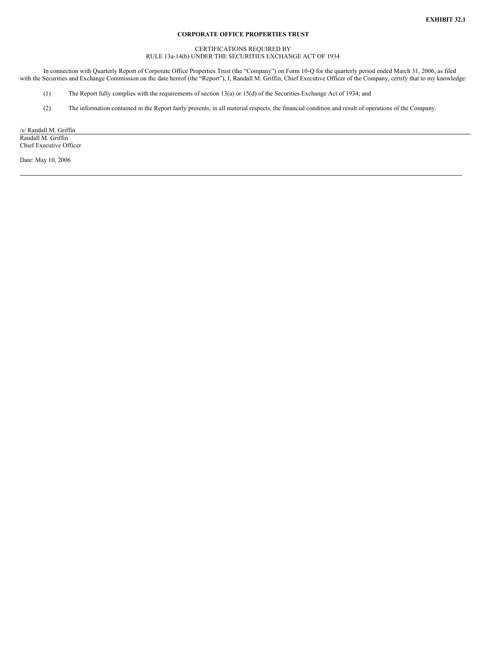# CERTIFICATIONS REQUIRED BY RULE 13a-14(b) UNDER THE SECURITIES EXCHANGE ACT OF 1934

In connection with Quarterly Report of Corporate Office Properties Trust (the "Company") on Form 10-Q for the quarterly period ended March 31, 2006, as filed with the Securities and Exchange Commission on the date hereof (the "Report"), I, Randall M. Griffin, Chief Executive Officer of the Company, certify that to my knowledge:

- (1) The Report fully complies with the requirements of section 13(a) or 15(d) of the Securities Exchange Act of 1934; and
- (2) The information contained in the Report fairly presents, in all material respects, the financial condition and result of operations of the Company.

/s/ Randall M. Griffin Randall M. Griffin Chief Executive Officer

Date: May 10, 2006